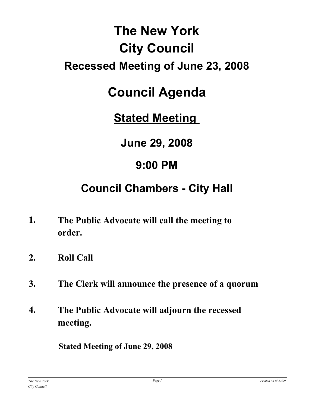# **The New York City Council Recessed Meeting of June 23, 2008**

# **Council Agenda**

**Stated Meeting** 

**June 29, 2008**

# **9:00 PM**

# **Council Chambers - City Hall**

- **The Public Advocate will call the meeting to order. 1.**
- **2. Roll Call**
- **3. The Clerk will announce the presence of a quorum**
- **The Public Advocate will adjourn the recessed meeting. 4.**

**Stated Meeting of June 29, 2008**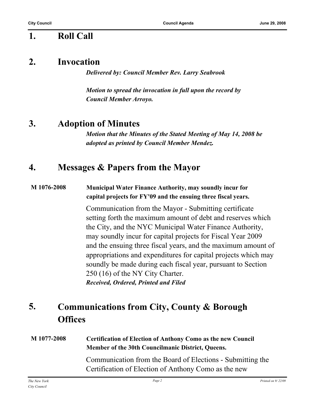## **1. Roll Call**

## **2. Invocation**

*Delivered by: Council Member Rev. Larry Seabrook*

*Motion to spread the invocation in full upon the record by Council Member Arroyo.*

# **3. Adoption of Minutes**

*Motion that the Minutes of the Stated Meeting of May 14, 2008 be adopted as printed by Council Member Mendez.*

# **4. Messages & Papers from the Mayor**

#### **M 1076-2008 Municipal Water Finance Authority, may soundly incur for capital projects for FY'09 and the ensuing three fiscal years.**

Communication from the Mayor - Submitting certificate setting forth the maximum amount of debt and reserves which the City, and the NYC Municipal Water Finance Authority, may soundly incur for capital projects for Fiscal Year 2009 and the ensuing three fiscal years, and the maximum amount of appropriations and expenditures for capital projects which may soundly be made during each fiscal year, pursuant to Section 250 (16) of the NY City Charter. *Received, Ordered, Printed and Filed*

#### **Communications from City, County & Borough Offices 5.**

### **M 1077-2008 Certification of Election of Anthony Como as the new Council Member of the 30th Councilmanic District, Queens.**

Communication from the Board of Elections - Submitting the Certification of Election of Anthony Como as the new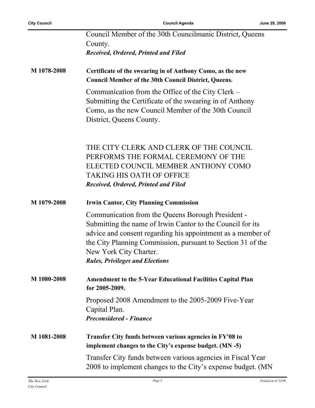|             | Council Member of the 30th Councilmanic District, Queens                                                                                                                                                                                                                                                          |
|-------------|-------------------------------------------------------------------------------------------------------------------------------------------------------------------------------------------------------------------------------------------------------------------------------------------------------------------|
|             | County.<br>Received, Ordered, Printed and Filed                                                                                                                                                                                                                                                                   |
|             |                                                                                                                                                                                                                                                                                                                   |
| M 1078-2008 | Certificate of the swearing in of Anthony Como, as the new<br><b>Council Member of the 30th Council District, Queens.</b>                                                                                                                                                                                         |
|             | Communication from the Office of the City Clerk –<br>Submitting the Certificate of the swearing in of Anthony<br>Como, as the new Council Member of the 30th Council<br>District, Queens County.                                                                                                                  |
|             | THE CITY CLERK AND CLERK OF THE COUNCIL<br>PERFORMS THE FORMAL CEREMONY OF THE<br>ELECTED COUNCIL MEMBER ANTHONY COMO<br><b>TAKING HIS OATH OF OFFICE</b><br>Received, Ordered, Printed and Filed                                                                                                                 |
| M 1079-2008 | <b>Irwin Cantor, City Planning Commission</b>                                                                                                                                                                                                                                                                     |
|             | Communication from the Queens Borough President -<br>Submitting the name of Irwin Cantor to the Council for its<br>advice and consent regarding his appointment as a member of<br>the City Planning Commission, pursuant to Section 31 of the<br>New York City Charter.<br><b>Rules, Privileges and Elections</b> |
| M 1080-2008 | <b>Amendment to the 5-Year Educational Facilities Capital Plan</b><br>for 2005-2009.                                                                                                                                                                                                                              |
|             | Proposed 2008 Amendment to the 2005-2009 Five-Year<br>Capital Plan.<br><b>Preconsidered - Finance</b>                                                                                                                                                                                                             |
| M 1081-2008 | Transfer City funds between various agencies in FY'08 to<br>implement changes to the City's expense budget. (MN -5)                                                                                                                                                                                               |
|             | Transfer City funds between various agencies in Fiscal Year<br>2008 to implement changes to the City's expense budget. (MN                                                                                                                                                                                        |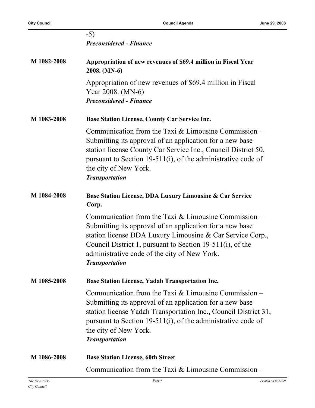|             | $-5)$<br><b>Preconsidered - Finance</b>                                                                                                                                                                                                                                                                             |
|-------------|---------------------------------------------------------------------------------------------------------------------------------------------------------------------------------------------------------------------------------------------------------------------------------------------------------------------|
| M 1082-2008 | Appropriation of new revenues of \$69.4 million in Fiscal Year<br>2008. (MN-6)                                                                                                                                                                                                                                      |
|             | Appropriation of new revenues of \$69.4 million in Fiscal<br>Year 2008. (MN-6)<br><b>Preconsidered - Finance</b>                                                                                                                                                                                                    |
| M 1083-2008 | <b>Base Station License, County Car Service Inc.</b>                                                                                                                                                                                                                                                                |
|             | Communication from the Taxi $&$ Limousine Commission –<br>Submitting its approval of an application for a new base<br>station license County Car Service Inc., Council District 50,<br>pursuant to Section 19-511(i), of the administrative code of<br>the city of New York.<br><b>Transportation</b>               |
| M 1084-2008 | Base Station License, DDA Luxury Limousine & Car Service<br>Corp.                                                                                                                                                                                                                                                   |
|             | Communication from the Taxi & Limousine Commission –<br>Submitting its approval of an application for a new base<br>station license DDA Luxury Limousine & Car Service Corp.,<br>Council District 1, pursuant to Section 19-511(i), of the<br>administrative code of the city of New York.<br><b>Transportation</b> |
| M 1085-2008 | <b>Base Station License, Yadah Transportation Inc.</b>                                                                                                                                                                                                                                                              |
|             | Communication from the Taxi $&$ Limousine Commission –<br>Submitting its approval of an application for a new base<br>station license Yadah Transportation Inc., Council District 31,<br>pursuant to Section 19-511(i), of the administrative code of<br>the city of New York.<br><b>Transportation</b>             |
| M 1086-2008 | <b>Base Station License, 60th Street</b>                                                                                                                                                                                                                                                                            |
|             | Communication from the Taxi $&$ Limousine Commission –                                                                                                                                                                                                                                                              |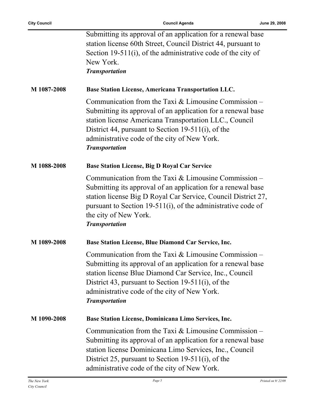|             | Submitting its approval of an application for a renewal base<br>station license 60th Street, Council District 44, pursuant to<br>Section 19-511(i), of the administrative code of the city of<br>New York.<br><b>Transportation</b>                                                                              |
|-------------|------------------------------------------------------------------------------------------------------------------------------------------------------------------------------------------------------------------------------------------------------------------------------------------------------------------|
| M 1087-2008 | Base Station License, Americana Transportation LLC.                                                                                                                                                                                                                                                              |
|             | Communication from the Taxi $&$ Limousine Commission –<br>Submitting its approval of an application for a renewal base<br>station license Americana Transportation LLC., Council<br>District 44, pursuant to Section 19-511(i), of the<br>administrative code of the city of New York.<br><b>Transportation</b>  |
| M 1088-2008 | Base Station License, Big D Royal Car Service                                                                                                                                                                                                                                                                    |
|             | Communication from the Taxi $&$ Limousine Commission –<br>Submitting its approval of an application for a renewal base<br>station license Big D Royal Car Service, Council District 27,<br>pursuant to Section 19-511(i), of the administrative code of<br>the city of New York.<br><b>Transportation</b>        |
| M 1089-2008 | Base Station License, Blue Diamond Car Service, Inc.                                                                                                                                                                                                                                                             |
|             | Communication from the Taxi $&$ Limousine Commission –<br>Submitting its approval of an application for a renewal base<br>station license Blue Diamond Car Service, Inc., Council<br>District 43, pursuant to Section 19-511(i), of the<br>administrative code of the city of New York.<br><b>Transportation</b> |
| M 1090-2008 | Base Station License, Dominicana Limo Services, Inc.                                                                                                                                                                                                                                                             |
|             | Communication from the Taxi $&$ Limousine Commission –<br>Submitting its approval of an application for a renewal base<br>station license Dominicana Limo Services, Inc., Council<br>District 25, pursuant to Section 19-511(i), of the<br>administrative code of the city of New York.                          |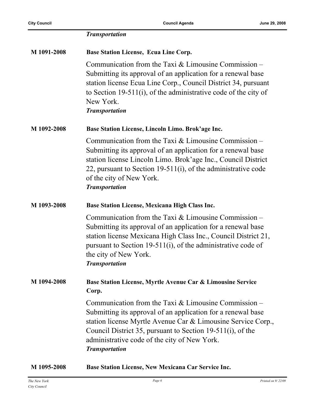|             | <b>Transportation</b>                                                                                                                                                                                                                                                                                                         |
|-------------|-------------------------------------------------------------------------------------------------------------------------------------------------------------------------------------------------------------------------------------------------------------------------------------------------------------------------------|
| M 1091-2008 | <b>Base Station License, Ecua Line Corp.</b>                                                                                                                                                                                                                                                                                  |
|             | Communication from the Taxi $&$ Limousine Commission –<br>Submitting its approval of an application for a renewal base<br>station license Ecua Line Corp., Council District 34, pursuant<br>to Section 19-511(i), of the administrative code of the city of<br>New York.<br><b>Transportation</b>                             |
| M 1092-2008 | Base Station License, Lincoln Limo. Brok'age Inc.                                                                                                                                                                                                                                                                             |
|             | Communication from the Taxi $&$ Limousine Commission –<br>Submitting its approval of an application for a renewal base<br>station license Lincoln Limo. Brok'age Inc., Council District<br>22, pursuant to Section 19-511(i), of the administrative code<br>of the city of New York.<br><b>Transportation</b>                 |
| M 1093-2008 | Base Station License, Mexicana High Class Inc.                                                                                                                                                                                                                                                                                |
|             | Communication from the Taxi $&$ Limousine Commission –<br>Submitting its approval of an application for a renewal base<br>station license Mexicana High Class Inc., Council District 21,<br>pursuant to Section 19-511(i), of the administrative code of<br>the city of New York.<br><b>Transportation</b>                    |
| M 1094-2008 | Base Station License, Myrtle Avenue Car & Limousine Service<br>Corp.                                                                                                                                                                                                                                                          |
|             | Communication from the Taxi $&$ Limousine Commission –<br>Submitting its approval of an application for a renewal base<br>station license Myrtle Avenue Car & Limousine Service Corp.,<br>Council District 35, pursuant to Section 19-511(i), of the<br>administrative code of the city of New York.<br><b>Transportation</b> |
| M 1095-2008 | Base Station License, New Mexicana Car Service Inc.                                                                                                                                                                                                                                                                           |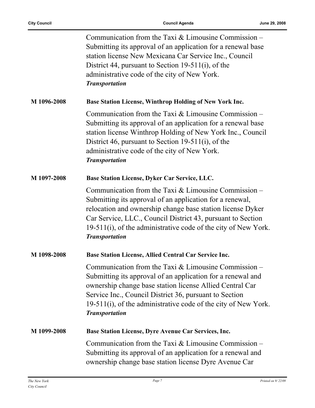|             | Communication from the Taxi $&$ Limousine Commission –<br>Submitting its approval of an application for a renewal base<br>station license New Mexicana Car Service Inc., Council<br>District 44, pursuant to Section 19-511(i), of the<br>administrative code of the city of New York.<br><b>Transportation</b>                            |
|-------------|--------------------------------------------------------------------------------------------------------------------------------------------------------------------------------------------------------------------------------------------------------------------------------------------------------------------------------------------|
| M 1096-2008 | Base Station License, Winthrop Holding of New York Inc.                                                                                                                                                                                                                                                                                    |
|             | Communication from the Taxi $&$ Limousine Commission –<br>Submitting its approval of an application for a renewal base<br>station license Winthrop Holding of New York Inc., Council<br>District 46, pursuant to Section 19-511(i), of the<br>administrative code of the city of New York.<br><b>Transportation</b>                        |
| M 1097-2008 | Base Station License, Dyker Car Service, LLC.                                                                                                                                                                                                                                                                                              |
|             | Communication from the Taxi $&$ Limousine Commission –<br>Submitting its approval of an application for a renewal,<br>relocation and ownership change base station license Dyker<br>Car Service, LLC., Council District 43, pursuant to Section<br>19-511(i), of the administrative code of the city of New York.<br><b>Transportation</b> |
| M 1098-2008 | Base Station License, Allied Central Car Service Inc.                                                                                                                                                                                                                                                                                      |
|             | Communication from the Taxi $&$ Limousine Commission –<br>Submitting its approval of an application for a renewal and<br>ownership change base station license Allied Central Car<br>Service Inc., Council District 36, pursuant to Section<br>19-511(i), of the administrative code of the city of New York.<br><b>Transportation</b>     |
| M 1099-2008 | Base Station License, Dyre Avenue Car Services, Inc.                                                                                                                                                                                                                                                                                       |
|             | Communication from the Taxi $&$ Limousine Commission –<br>Submitting its approval of an application for a renewal and<br>ownership change base station license Dyre Avenue Car                                                                                                                                                             |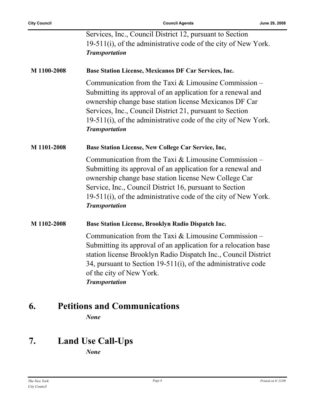|             | Services, Inc., Council District 12, pursuant to Section                                                                                                                                                                                                                                                                               |
|-------------|----------------------------------------------------------------------------------------------------------------------------------------------------------------------------------------------------------------------------------------------------------------------------------------------------------------------------------------|
|             | 19-511(i), of the administrative code of the city of New York.                                                                                                                                                                                                                                                                         |
|             | <b>Transportation</b>                                                                                                                                                                                                                                                                                                                  |
|             |                                                                                                                                                                                                                                                                                                                                        |
| M 1100-2008 | Base Station License, Mexicanos DF Car Services, Inc.                                                                                                                                                                                                                                                                                  |
|             | Communication from the Taxi $&$ Limousine Commission –<br>Submitting its approval of an application for a renewal and<br>ownership change base station license Mexicanos DF Car<br>Services, Inc., Council District 21, pursuant to Section<br>19-511(i), of the administrative code of the city of New York.<br><b>Transportation</b> |
| M 1101-2008 | Base Station License, New College Car Service, Inc,                                                                                                                                                                                                                                                                                    |
|             | Communication from the Taxi $&$ Limousine Commission –<br>Submitting its approval of an application for a renewal and<br>ownership change base station license New College Car<br>Service, Inc., Council District 16, pursuant to Section<br>19-511(i), of the administrative code of the city of New York.<br><b>Transportation</b>   |
| M 1102-2008 | Base Station License, Brooklyn Radio Dispatch Inc.                                                                                                                                                                                                                                                                                     |
|             | Communication from the Taxi $&$ Limousine Commission –<br>Submitting its approval of an application for a relocation base<br>station license Brooklyn Radio Dispatch Inc., Council District<br>34, pursuant to Section $19-511(i)$ , of the administrative code<br>of the city of New York.<br><b>Transportation</b>                   |

# **6. Petitions and Communications**

*None*

# **7. Land Use Call-Ups**

*None*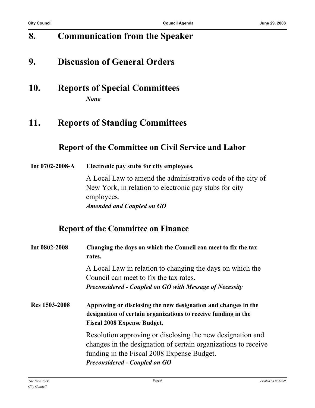# **8. Communication from the Speaker**

## **9. Discussion of General Orders**

**10. Reports of Special Committees** *None*

## **11. Reports of Standing Committees**

## **Report of the Committee on Civil Service and Labor**

#### **Int 0702-2008-A Electronic pay stubs for city employees.**

A Local Law to amend the administrative code of the city of New York, in relation to electronic pay stubs for city employees. *Amended and Coupled on GO*

### **Report of the Committee on Finance**

| Int 0802-2008 | Changing the days on which the Council can meet to fix the tax<br>rates.                                                                                                                                           |
|---------------|--------------------------------------------------------------------------------------------------------------------------------------------------------------------------------------------------------------------|
|               | A Local Law in relation to changing the days on which the<br>Council can meet to fix the tax rates.<br><b>Preconsidered - Coupled on GO with Message of Necessity</b>                                              |
| Res 1503-2008 | Approving or disclosing the new designation and changes in the<br>designation of certain organizations to receive funding in the<br><b>Fiscal 2008 Expense Budget.</b>                                             |
|               | Resolution approving or disclosing the new designation and<br>changes in the designation of certain organizations to receive<br>funding in the Fiscal 2008 Expense Budget.<br><b>Preconsidered - Coupled on GO</b> |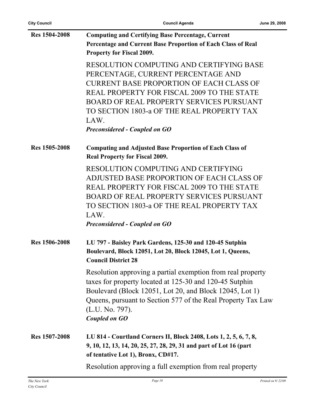| <b>Res 1504-2008</b> | <b>Computing and Certifying Base Percentage, Current</b>                                                               |
|----------------------|------------------------------------------------------------------------------------------------------------------------|
|                      | Percentage and Current Base Proportion of Each Class of Real                                                           |
|                      | <b>Property for Fiscal 2009.</b>                                                                                       |
|                      | <b>RESOLUTION COMPUTING AND CERTIFYING BASE</b>                                                                        |
|                      | PERCENTAGE, CURRENT PERCENTAGE AND                                                                                     |
|                      | CURRENT BASE PROPORTION OF EACH CLASS OF                                                                               |
|                      | REAL PROPERTY FOR FISCAL 2009 TO THE STATE                                                                             |
|                      | <b>BOARD OF REAL PROPERTY SERVICES PURSUANT</b>                                                                        |
|                      | TO SECTION 1803-a OF THE REAL PROPERTY TAX                                                                             |
|                      | LAW.                                                                                                                   |
|                      | <b>Preconsidered - Coupled on GO</b>                                                                                   |
| Res 1505-2008        | <b>Computing and Adjusted Base Proportion of Each Class of</b>                                                         |
|                      | <b>Real Property for Fiscal 2009.</b>                                                                                  |
|                      | RESOLUTION COMPUTING AND CERTIFYING                                                                                    |
|                      | ADJUSTED BASE PROPORTION OF EACH CLASS OF                                                                              |
|                      | REAL PROPERTY FOR FISCAL 2009 TO THE STATE                                                                             |
|                      | <b>BOARD OF REAL PROPERTY SERVICES PURSUANT</b>                                                                        |
|                      | TO SECTION 1803-a OF THE REAL PROPERTY TAX                                                                             |
|                      | LAW.                                                                                                                   |
|                      | <b>Preconsidered - Coupled on GO</b>                                                                                   |
| <b>Res 1506-2008</b> | LU 797 - Baisley Park Gardens, 125-30 and 120-45 Sutphin                                                               |
|                      | Boulevard, Block 12051, Lot 20, Block 12045, Lot 1, Queens,                                                            |
|                      | <b>Council District 28</b>                                                                                             |
|                      | Resolution approving a partial exemption from real property<br>taxes for property located at 125-30 and 120-45 Sutphin |
|                      | Boulevard (Block 12051, Lot 20, and Block 12045, Lot 1)                                                                |
|                      | Queens, pursuant to Section 577 of the Real Property Tax Law                                                           |
|                      | (L.U. No. 797).                                                                                                        |
|                      | <b>Coupled on GO</b>                                                                                                   |
| Res 1507-2008        | LU 814 - Courtland Corners II, Block 2408, Lots 1, 2, 5, 6, 7, 8,                                                      |
|                      | 9, 10, 12, 13, 14, 20, 25, 27, 28, 29, 31 and part of Lot 16 (part<br>of tentative Lot 1), Bronx, CD#17.               |
|                      | Resolution approving a full exemption from real property                                                               |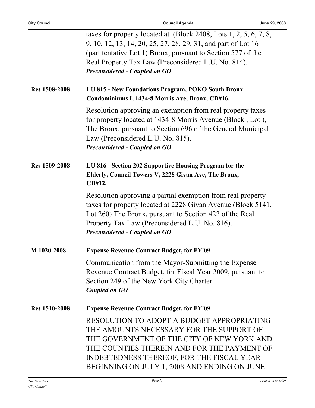|                      | taxes for property located at $(Block\ 2408, \text{Lots}\ 1, 2, 5, 6, 7, 8,$<br>9, 10, 12, 13, 14, 20, 25, 27, 28, 29, 31, and part of Lot 16<br>(part tentative Lot 1) Bronx, pursuant to Section 577 of the<br>Real Property Tax Law (Preconsidered L.U. No. 814).<br><b>Preconsidered - Coupled on GO</b> |
|----------------------|--------------------------------------------------------------------------------------------------------------------------------------------------------------------------------------------------------------------------------------------------------------------------------------------------------------|
| <b>Res 1508-2008</b> | LU 815 - New Foundations Program, POKO South Bronx<br>Condominiums I, 1434-8 Morris Ave, Bronx, CD#16.                                                                                                                                                                                                       |
|                      | Resolution approving an exemption from real property taxes<br>for property located at 1434-8 Morris Avenue (Block, Lot),<br>The Bronx, pursuant to Section 696 of the General Municipal<br>Law (Preconsidered L.U. No. 815).<br><b>Preconsidered - Coupled on GO</b>                                         |
| <b>Res 1509-2008</b> | LU 816 - Section 202 Supportive Housing Program for the<br>Elderly, Council Towers V, 2228 Givan Ave, The Bronx,<br>CD#12.                                                                                                                                                                                   |
|                      | Resolution approving a partial exemption from real property<br>taxes for property located at 2228 Givan Avenue (Block 5141,<br>Lot 260) The Bronx, pursuant to Section 422 of the Real<br>Property Tax Law (Preconsidered L.U. No. 816).<br><b>Preconsidered - Coupled on GO</b>                             |
| M 1020-2008          | <b>Expense Revenue Contract Budget, for FY'09</b>                                                                                                                                                                                                                                                            |
|                      | Communication from the Mayor-Submitting the Expense<br>Revenue Contract Budget, for Fiscal Year 2009, pursuant to<br>Section 249 of the New York City Charter.<br><b>Coupled on GO</b>                                                                                                                       |
| <b>Res 1510-2008</b> | <b>Expense Revenue Contract Budget, for FY'09</b>                                                                                                                                                                                                                                                            |
|                      | RESOLUTION TO ADOPT A BUDGET APPROPRIATING<br>THE AMOUNTS NECESSARY FOR THE SUPPORT OF<br>THE GOVERNMENT OF THE CITY OF NEW YORK AND<br>THE COUNTIES THEREIN AND FOR THE PAYMENT OF<br>INDEBTEDNESS THEREOF, FOR THE FISCAL YEAR<br>BEGINNING ON JULY 1, 2008 AND ENDING ON JUNE                             |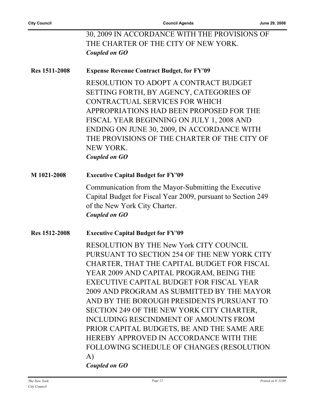|               | 30, 2009 IN ACCORDANCE WITH THE PROVISIONS OF                    |
|---------------|------------------------------------------------------------------|
|               | THE CHARTER OF THE CITY OF NEW YORK.                             |
|               | Coupled on GO                                                    |
| Res 1511-2008 | <b>Expense Revenue Contract Budget, for FY'09</b>                |
|               | RESOLUTION TO ADOPT A CONTRACT BUDGET                            |
|               | SETTING FORTH, BY AGENCY, CATEGORIES OF                          |
|               | CONTRACTUAL SERVICES FOR WHICH                                   |
|               | APPROPRIATIONS HAD BEEN PROPOSED FOR THE                         |
|               | FISCAL YEAR BEGINNING ON JULY 1, 2008 AND                        |
|               | ENDING ON JUNE 30, 2009, IN ACCORDANCE WITH                      |
|               | THE PROVISIONS OF THE CHARTER OF THE CITY OF<br><b>NEW YORK.</b> |
|               | Coupled on GO                                                    |
| M 1021-2008   | <b>Executive Capital Budget for FY'09</b>                        |
|               | Communication from the Mayor-Submitting the Executive            |
|               | Capital Budget for Fiscal Year 2009, pursuant to Section 249     |
|               | of the New York City Charter.<br><b>Coupled on GO</b>            |
|               |                                                                  |
| Res 1512-2008 | <b>Executive Capital Budget for FY'09</b>                        |
|               | RESOLUTION BY THE New York CITY COUNCIL                          |
|               | PURSUANT TO SECTION 254 OF THE NEW YORK CITY                     |
|               | CHARTER, THAT THE CAPITAL BUDGET FOR FISCAL                      |
|               | YEAR 2009 AND CAPITAL PROGRAM, BEING THE                         |
|               | EXECUTIVE CAPITAL BUDGET FOR FISCAL YEAR                         |
|               | 2009 AND PROGRAM AS SUBMITTED BY THE MAYOR                       |
|               | AND BY THE BOROUGH PRESIDENTS PURSUANT TO                        |
|               | SECTION 249 OF THE NEW YORK CITY CHARTER,                        |
|               | INCLUDING RESCINDMENT OF AMOUNTS FROM                            |
|               | PRIOR CAPITAL BUDGETS, BE AND THE SAME ARE                       |
|               | HEREBY APPROVED IN ACCORDANCE WITH THE                           |
|               | FOLLOWING SCHEDULE OF CHANGES (RESOLUTION                        |
|               | A)                                                               |
|               | <b>Coupled on GO</b>                                             |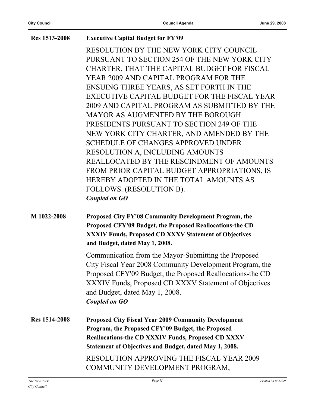| <b>Res 1513-2008</b> | <b>Executive Capital Budget for FY'09</b>                                                                                                                                                                                               |
|----------------------|-----------------------------------------------------------------------------------------------------------------------------------------------------------------------------------------------------------------------------------------|
|                      | RESOLUTION BY THE NEW YORK CITY COUNCIL                                                                                                                                                                                                 |
|                      | PURSUANT TO SECTION 254 OF THE NEW YORK CITY                                                                                                                                                                                            |
|                      | CHARTER, THAT THE CAPITAL BUDGET FOR FISCAL                                                                                                                                                                                             |
|                      | YEAR 2009 AND CAPITAL PROGRAM FOR THE                                                                                                                                                                                                   |
|                      | ENSUING THREE YEARS, AS SET FORTH IN THE                                                                                                                                                                                                |
|                      | EXECUTIVE CAPITAL BUDGET FOR THE FISCAL YEAR                                                                                                                                                                                            |
|                      | 2009 AND CAPITAL PROGRAM AS SUBMITTED BY THE                                                                                                                                                                                            |
|                      | MAYOR AS AUGMENTED BY THE BOROUGH                                                                                                                                                                                                       |
|                      | PRESIDENTS PURSUANT TO SECTION 249 OF THE                                                                                                                                                                                               |
|                      | NEW YORK CITY CHARTER, AND AMENDED BY THE                                                                                                                                                                                               |
|                      | <b>SCHEDULE OF CHANGES APPROVED UNDER</b>                                                                                                                                                                                               |
|                      | RESOLUTION A, INCLUDING AMOUNTS                                                                                                                                                                                                         |
|                      | REALLOCATED BY THE RESCINDMENT OF AMOUNTS                                                                                                                                                                                               |
|                      | FROM PRIOR CAPITAL BUDGET APPROPRIATIONS, IS                                                                                                                                                                                            |
|                      | HEREBY ADOPTED IN THE TOTAL AMOUNTS AS                                                                                                                                                                                                  |
|                      | FOLLOWS. (RESOLUTION B).                                                                                                                                                                                                                |
|                      | <b>Coupled on GO</b>                                                                                                                                                                                                                    |
| M 1022-2008          | Proposed City FY'08 Community Development Program, the<br>Proposed CFY'09 Budget, the Proposed Reallocations-the CD<br>XXXIV Funds, Proposed CD XXXV Statement of Objectives<br>and Budget, dated May 1, 2008.                          |
|                      | Communication from the Mayor-Submitting the Proposed<br>City Fiscal Year 2008 Community Development Program, the<br>Proposed CFY'09 Budget, the Proposed Reallocations-the CD<br>XXXIV Funds, Proposed CD XXXV Statement of Objectives  |
|                      | and Budget, dated May 1, 2008.<br><b>Coupled on GO</b>                                                                                                                                                                                  |
| <b>Res</b> 1514-2008 | <b>Proposed City Fiscal Year 2009 Community Development</b><br>Program, the Proposed CFY'09 Budget, the Proposed<br><b>Reallocations-the CD XXXIV Funds, Proposed CD XXXV</b><br>Statement of Objectives and Budget, dated May 1, 2008. |
|                      | <b>RESOLUTION APPROVING THE FISCAL YEAR 2009</b><br>COMMUNITY DEVELOPMENT PROGRAM,                                                                                                                                                      |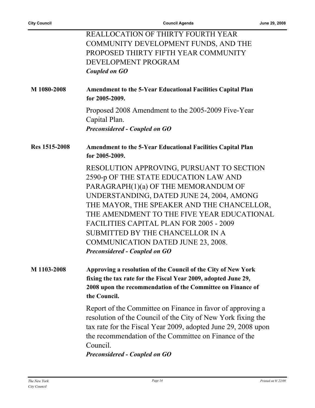|               | <b>REALLOCATION OF THIRTY FOURTH YEAR</b>                                                                                                                                                                                                                                                                |
|---------------|----------------------------------------------------------------------------------------------------------------------------------------------------------------------------------------------------------------------------------------------------------------------------------------------------------|
|               | COMMUNITY DEVELOPMENT FUNDS, AND THE                                                                                                                                                                                                                                                                     |
|               | PROPOSED THIRTY FIFTH YEAR COMMUNITY                                                                                                                                                                                                                                                                     |
|               | DEVELOPMENT PROGRAM                                                                                                                                                                                                                                                                                      |
|               | Coupled on GO                                                                                                                                                                                                                                                                                            |
| M 1080-2008   | <b>Amendment to the 5-Year Educational Facilities Capital Plan</b><br>for 2005-2009.                                                                                                                                                                                                                     |
|               | Proposed 2008 Amendment to the 2005-2009 Five-Year<br>Capital Plan.<br><b>Preconsidered - Coupled on GO</b>                                                                                                                                                                                              |
| Res 1515-2008 | <b>Amendment to the 5-Year Educational Facilities Capital Plan</b><br>for 2005-2009.                                                                                                                                                                                                                     |
|               | RESOLUTION APPROVING, PURSUANT TO SECTION                                                                                                                                                                                                                                                                |
|               | 2590-p OF THE STATE EDUCATION LAW AND                                                                                                                                                                                                                                                                    |
|               | PARAGRAPH(1)(a) OF THE MEMORANDUM OF                                                                                                                                                                                                                                                                     |
|               | UNDERSTANDING, DATED JUNE 24, 2004, AMONG                                                                                                                                                                                                                                                                |
|               | THE MAYOR, THE SPEAKER AND THE CHANCELLOR,                                                                                                                                                                                                                                                               |
|               | THE AMENDMENT TO THE FIVE YEAR EDUCATIONAL                                                                                                                                                                                                                                                               |
|               | <b>FACILITIES CAPITAL PLAN FOR 2005 - 2009</b>                                                                                                                                                                                                                                                           |
|               | SUBMITTED BY THE CHANCELLOR IN A                                                                                                                                                                                                                                                                         |
|               | COMMUNICATION DATED JUNE 23, 2008.                                                                                                                                                                                                                                                                       |
|               | <b>Preconsidered - Coupled on GO</b>                                                                                                                                                                                                                                                                     |
| M 1103-2008   | Approving a resolution of the Council of the City of New York<br>fixing the tax rate for the Fiscal Year 2009, adopted June 29,<br>2008 upon the recommendation of the Committee on Finance of                                                                                                           |
|               | the Council.                                                                                                                                                                                                                                                                                             |
|               | Report of the Committee on Finance in favor of approving a<br>resolution of the Council of the City of New York fixing the<br>tax rate for the Fiscal Year 2009, adopted June 29, 2008 upon<br>the recommendation of the Committee on Finance of the<br>Council.<br><b>Preconsidered - Coupled on GO</b> |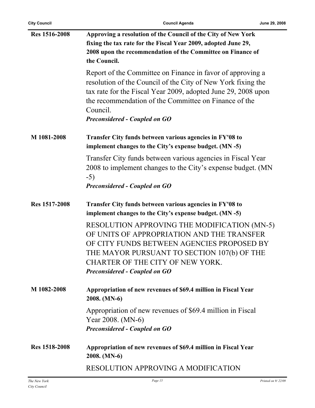| <b>City Council</b>  | <b>Council Agenda</b>                                                                                                                                                                                                                                                                                    | June 29, 2008      |
|----------------------|----------------------------------------------------------------------------------------------------------------------------------------------------------------------------------------------------------------------------------------------------------------------------------------------------------|--------------------|
| <b>Res 1516-2008</b> | Approving a resolution of the Council of the City of New York<br>fixing the tax rate for the Fiscal Year 2009, adopted June 29,<br>2008 upon the recommendation of the Committee on Finance of<br>the Council.                                                                                           |                    |
|                      | Report of the Committee on Finance in favor of approving a<br>resolution of the Council of the City of New York fixing the<br>tax rate for the Fiscal Year 2009, adopted June 29, 2008 upon<br>the recommendation of the Committee on Finance of the<br>Council.<br><b>Preconsidered - Coupled on GO</b> |                    |
| M 1081-2008          | Transfer City funds between various agencies in FY'08 to<br>implement changes to the City's expense budget. (MN -5)                                                                                                                                                                                      |                    |
|                      | Transfer City funds between various agencies in Fiscal Year<br>2008 to implement changes to the City's expense budget. (MN<br>$-5)$<br><b>Preconsidered - Coupled on GO</b>                                                                                                                              |                    |
| Res 1517-2008        | Transfer City funds between various agencies in FY'08 to<br>implement changes to the City's expense budget. (MN -5)                                                                                                                                                                                      |                    |
|                      | RESOLUTION APPROVING THE MODIFICATION (MN-5)<br>OF UNITS OF APPROPRIATION AND THE TRANSFER<br>OF CITY FUNDS BETWEEN AGENCIES PROPOSED BY<br>THE MAYOR PURSUANT TO SECTION 107(b) OF THE<br>CHARTER OF THE CITY OF NEW YORK.<br><b>Preconsidered - Coupled on GO</b>                                      |                    |
| M 1082-2008          | Appropriation of new revenues of \$69.4 million in Fiscal Year<br>2008. (MN-6)                                                                                                                                                                                                                           |                    |
|                      | Appropriation of new revenues of \$69.4 million in Fiscal<br>Year 2008. (MN-6)<br><b>Preconsidered - Coupled on GO</b>                                                                                                                                                                                   |                    |
| <b>Res</b> 1518-2008 | Appropriation of new revenues of \$69.4 million in Fiscal Year<br>2008. (MN-6)                                                                                                                                                                                                                           |                    |
|                      | <b>RESOLUTION APPROVING A MODIFICATION</b>                                                                                                                                                                                                                                                               |                    |
| The New York         | Page 15                                                                                                                                                                                                                                                                                                  | Printed on 9/22/09 |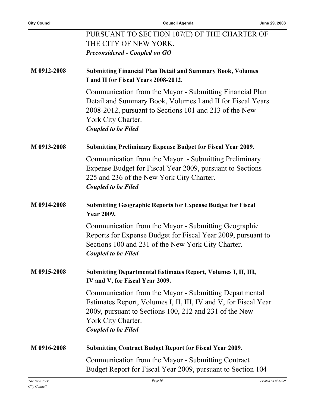|             | PURSUANT TO SECTION 107(E) OF THE CHARTER OF                                                                                                                                                                                            |
|-------------|-----------------------------------------------------------------------------------------------------------------------------------------------------------------------------------------------------------------------------------------|
|             | THE CITY OF NEW YORK.                                                                                                                                                                                                                   |
|             | <b>Preconsidered - Coupled on GO</b>                                                                                                                                                                                                    |
| M 0912-2008 | <b>Submitting Financial Plan Detail and Summary Book, Volumes</b><br>I and II for Fiscal Years 2008-2012.                                                                                                                               |
|             | Communication from the Mayor - Submitting Financial Plan<br>Detail and Summary Book, Volumes I and II for Fiscal Years<br>2008-2012, pursuant to Sections 101 and 213 of the New<br>York City Charter.<br><b>Coupled to be Filed</b>    |
| M 0913-2008 | <b>Submitting Preliminary Expense Budget for Fiscal Year 2009.</b>                                                                                                                                                                      |
|             | Communication from the Mayor - Submitting Preliminary<br>Expense Budget for Fiscal Year 2009, pursuant to Sections<br>225 and 236 of the New York City Charter.<br><b>Coupled to be Filed</b>                                           |
| M 0914-2008 | <b>Submitting Geographic Reports for Expense Budget for Fiscal</b><br><b>Year 2009.</b>                                                                                                                                                 |
|             | Communication from the Mayor - Submitting Geographic<br>Reports for Expense Budget for Fiscal Year 2009, pursuant to<br>Sections 100 and 231 of the New York City Charter.<br><b>Coupled to be Filed</b>                                |
| M 0915-2008 | <b>Submitting Departmental Estimates Report, Volumes I, II, III,</b><br>IV and V, for Fiscal Year 2009.                                                                                                                                 |
|             | Communication from the Mayor - Submitting Departmental<br>Estimates Report, Volumes I, II, III, IV and V, for Fiscal Year<br>2009, pursuant to Sections 100, 212 and 231 of the New<br>York City Charter.<br><b>Coupled to be Filed</b> |
| M 0916-2008 | <b>Submitting Contract Budget Report for Fiscal Year 2009.</b>                                                                                                                                                                          |
|             | Communication from the Mayor - Submitting Contract<br>Budget Report for Fiscal Year 2009, pursuant to Section 104                                                                                                                       |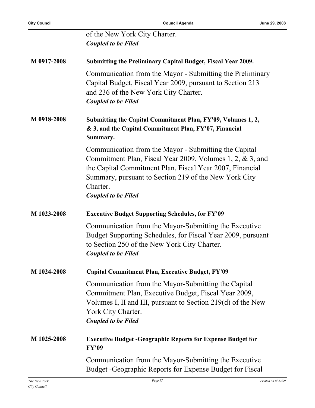|             | of the New York City Charter.<br><b>Coupled to be Filed</b>                                                                                                                                                                                                                       |
|-------------|-----------------------------------------------------------------------------------------------------------------------------------------------------------------------------------------------------------------------------------------------------------------------------------|
| M 0917-2008 | Submitting the Preliminary Capital Budget, Fiscal Year 2009.                                                                                                                                                                                                                      |
|             | Communication from the Mayor - Submitting the Preliminary<br>Capital Budget, Fiscal Year 2009, pursuant to Section 213<br>and 236 of the New York City Charter.<br><b>Coupled to be Filed</b>                                                                                     |
| M 0918-2008 | Submitting the Capital Commitment Plan, FY'09, Volumes 1, 2,<br>& 3, and the Capital Commitment Plan, FY'07, Financial<br>Summary.                                                                                                                                                |
|             | Communication from the Mayor - Submitting the Capital<br>Commitment Plan, Fiscal Year 2009, Volumes 1, 2, & 3, and<br>the Capital Commitment Plan, Fiscal Year 2007, Financial<br>Summary, pursuant to Section 219 of the New York City<br>Charter.<br><b>Coupled to be Filed</b> |
| M 1023-2008 | <b>Executive Budget Supporting Schedules, for FY'09</b>                                                                                                                                                                                                                           |
|             | Communication from the Mayor-Submitting the Executive<br>Budget Supporting Schedules, for Fiscal Year 2009, pursuant<br>to Section 250 of the New York City Charter.<br><b>Coupled to be Filed</b>                                                                                |
| M 1024-2008 | <b>Capital Commitment Plan, Executive Budget, FY'09</b>                                                                                                                                                                                                                           |
|             | Communication from the Mayor-Submitting the Capital<br>Commitment Plan, Executive Budget, Fiscal Year 2009,<br>Volumes I, II and III, pursuant to Section 219(d) of the New<br>York City Charter.<br><b>Coupled to be Filed</b>                                                   |
| M 1025-2008 | <b>Executive Budget - Geographic Reports for Expense Budget for</b><br><b>FY'09</b>                                                                                                                                                                                               |
|             | Communication from the Mayor-Submitting the Executive<br>Budget - Geographic Reports for Expense Budget for Fiscal                                                                                                                                                                |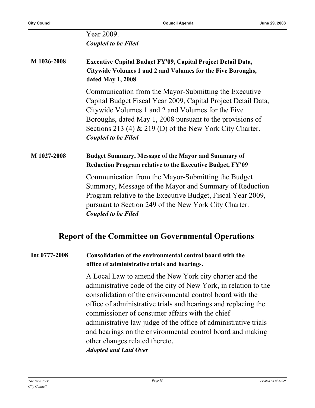Year 2009. *Coupled to be Filed*

**M 1026-2008 Executive Capital Budget FY'09, Capital Project Detail Data, Citywide Volumes 1 and 2 and Volumes for the Five Boroughs, dated May 1, 2008**

> Communication from the Mayor-Submitting the Executive Capital Budget Fiscal Year 2009, Capital Project Detail Data, Citywide Volumes 1 and 2 and Volumes for the Five Boroughs, dated May 1, 2008 pursuant to the provisions of Sections 213 (4) & 219 (D) of the New York City Charter. *Coupled to be Filed*

#### **M 1027-2008 Budget Summary, Message of the Mayor and Summary of Reduction Program relative to the Executive Budget, FY'09**

Communication from the Mayor-Submitting the Budget Summary, Message of the Mayor and Summary of Reduction Program relative to the Executive Budget, Fiscal Year 2009, pursuant to Section 249 of the New York City Charter. *Coupled to be Filed*

## **Report of the Committee on Governmental Operations**

#### **Int 0777-2008 Consolidation of the environmental control board with the office of administrative trials and hearings.**

A Local Law to amend the New York city charter and the administrative code of the city of New York, in relation to the consolidation of the environmental control board with the office of administrative trials and hearings and replacing the commissioner of consumer affairs with the chief administrative law judge of the office of administrative trials and hearings on the environmental control board and making other changes related thereto. *Adopted and Laid Over*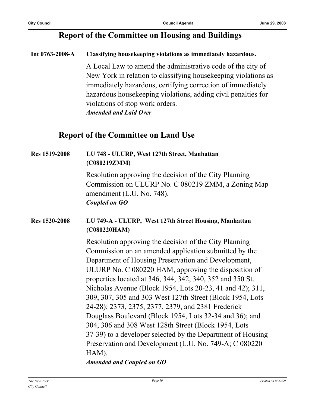## **Report of the Committee on Housing and Buildings**

#### **Int 0763-2008-A Classifying housekeeping violations as immediately hazardous.**

A Local Law to amend the administrative code of the city of New York in relation to classifying housekeeping violations as immediately hazardous, certifying correction of immediately hazardous housekeeping violations, adding civil penalties for violations of stop work orders. *Amended and Laid Over*

## **Report of the Committee on Land Use**

| <b>Res 1519-2008</b> | LU 748 - ULURP, West 127th Street, Manhattan<br>(C080219ZMM)                                                                                                                                                                                                                                                                                                                                                                                                                                                                                                                                                                                                                                                                                                  |
|----------------------|---------------------------------------------------------------------------------------------------------------------------------------------------------------------------------------------------------------------------------------------------------------------------------------------------------------------------------------------------------------------------------------------------------------------------------------------------------------------------------------------------------------------------------------------------------------------------------------------------------------------------------------------------------------------------------------------------------------------------------------------------------------|
|                      | Resolution approving the decision of the City Planning<br>Commission on ULURP No. C 080219 ZMM, a Zoning Map<br>amendment (L.U. No. 748).<br><b>Coupled on GO</b>                                                                                                                                                                                                                                                                                                                                                                                                                                                                                                                                                                                             |
| Res 1520-2008        | LU 749-A - ULURP, West 127th Street Housing, Manhattan<br>(C080220HAM)                                                                                                                                                                                                                                                                                                                                                                                                                                                                                                                                                                                                                                                                                        |
|                      | Resolution approving the decision of the City Planning<br>Commission on an amended application submitted by the<br>Department of Housing Preservation and Development,<br>ULURP No. C 080220 HAM, approving the disposition of<br>properties located at 346, 344, 342, 340, 352 and 350 St.<br>Nicholas Avenue (Block 1954, Lots 20-23, 41 and 42); 311,<br>309, 307, 305 and 303 West 127th Street (Block 1954, Lots<br>24-28); 2373, 2375, 2377, 2379, and 2381 Frederick<br>Douglass Boulevard (Block 1954, Lots 32-34 and 36); and<br>304, 306 and 308 West 128th Street (Block 1954, Lots<br>37-39) to a developer selected by the Department of Housing<br>Preservation and Development (L.U. No. 749-A; C 080220<br>HAM).<br>Amended and Coupled on GO |

*Amended and Coupled on GO*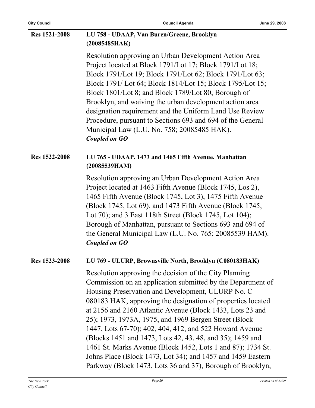| <b>Res 1521-2008</b> | LU 758 - UDAAP, Van Buren/Greene, Brooklyn                                                                                                                                                                                                                                                                                                                                                                                                                                                                                                                                                                                                                                          |
|----------------------|-------------------------------------------------------------------------------------------------------------------------------------------------------------------------------------------------------------------------------------------------------------------------------------------------------------------------------------------------------------------------------------------------------------------------------------------------------------------------------------------------------------------------------------------------------------------------------------------------------------------------------------------------------------------------------------|
|                      | (20085485HAK)                                                                                                                                                                                                                                                                                                                                                                                                                                                                                                                                                                                                                                                                       |
|                      | Resolution approving an Urban Development Action Area<br>Project located at Block 1791/Lot 17; Block 1791/Lot 18;<br>Block 1791/Lot 19; Block 1791/Lot 62; Block 1791/Lot 63;<br>Block 1791/Lot 64; Block 1814/Lot 15; Block 1795/Lot 15;<br>Block 1801/Lot 8; and Block 1789/Lot 80; Borough of<br>Brooklyn, and waiving the urban development action area<br>designation requirement and the Uniform Land Use Review<br>Procedure, pursuant to Sections 693 and 694 of the General<br>Municipal Law (L.U. No. 758; 20085485 HAK).<br><b>Coupled on GO</b>                                                                                                                         |
| Res 1522-2008        | LU 765 - UDAAP, 1473 and 1465 Fifth Avenue, Manhattan<br>(20085539HAM)                                                                                                                                                                                                                                                                                                                                                                                                                                                                                                                                                                                                              |
|                      | Resolution approving an Urban Development Action Area<br>Project located at 1463 Fifth Avenue (Block 1745, Los 2),<br>1465 Fifth Avenue (Block 1745, Lot 3), 1475 Fifth Avenue<br>(Block 1745, Lot 69), and 1473 Fifth Avenue (Block 1745,<br>Lot 70); and 3 East 118th Street (Block 1745, Lot 104);<br>Borough of Manhattan, pursuant to Sections 693 and 694 of<br>the General Municipal Law (L.U. No. 765; 20085539 HAM).<br><b>Coupled on GO</b>                                                                                                                                                                                                                               |
| Res 1523-2008        | LU 769 - ULURP, Brownsville North, Brooklyn (C080183HAK)                                                                                                                                                                                                                                                                                                                                                                                                                                                                                                                                                                                                                            |
|                      | Resolution approving the decision of the City Planning<br>Commission on an application submitted by the Department of<br>Housing Preservation and Development, ULURP No. C<br>080183 HAK, approving the designation of properties located<br>at 2156 and 2160 Atlantic Avenue (Block 1433, Lots 23 and<br>25); 1973, 1973A, 1975, and 1969 Bergen Street (Block<br>1447, Lots 67-70); 402, 404, 412, and 522 Howard Avenue<br>(Blocks 1451 and 1473, Lots 42, 43, 48, and 35); 1459 and<br>1461 St. Marks Avenue (Block 1452, Lots 1 and 87); 1734 St.<br>Johns Place (Block 1473, Lot 34); and 1457 and 1459 Eastern<br>Parkway (Block 1473, Lots 36 and 37), Borough of Brooklyn, |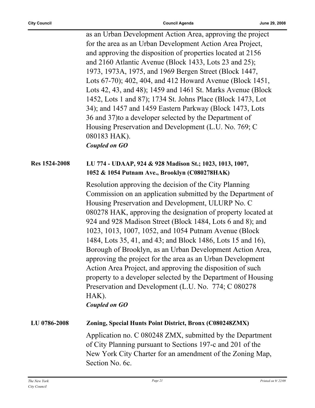as an Urban Development Action Area, approving the project for the area as an Urban Development Action Area Project, and approving the disposition of properties located at 2156 and 2160 Atlantic Avenue (Block 1433, Lots 23 and 25); 1973, 1973A, 1975, and 1969 Bergen Street (Block 1447, Lots 67-70); 402, 404, and 412 Howard Avenue (Block 1451, Lots 42, 43, and 48); 1459 and 1461 St. Marks Avenue (Block 1452, Lots 1 and 87); 1734 St. Johns Place (Block 1473, Lot 34); and 1457 and 1459 Eastern Parkway (Block 1473, Lots 36 and 37)to a developer selected by the Department of Housing Preservation and Development (L.U. No. 769; C 080183 HAK). *Coupled on GO* **Res 1524-2008 LU 774 - UDAAP, 924 & 928 Madison St.; 1023, 1013, 1007,** 

### **1052 & 1054 Putnam Ave., Brooklyn (C080278HAK)**

Resolution approving the decision of the City Planning Commission on an application submitted by the Department of Housing Preservation and Development, ULURP No. C 080278 HAK, approving the designation of property located at 924 and 928 Madison Street (Block 1484, Lots 6 and 8); and 1023, 1013, 1007, 1052, and 1054 Putnam Avenue (Block 1484, Lots 35, 41, and 43; and Block 1486, Lots 15 and 16), Borough of Brooklyn, as an Urban Development Action Area, approving the project for the area as an Urban Development Action Area Project, and approving the disposition of such property to a developer selected by the Department of Housing Preservation and Development (L.U. No. 774; C 080278 HAK).

*Coupled on GO*

# **LU 0786-2008 Zoning, Special Hunts Point District, Bronx (C080248ZMX)**

Application no. C 080248 ZMX, submitted by the Department of City Planning pursuant to Sections 197-c and 201 of the New York City Charter for an amendment of the Zoning Map, Section No. 6c.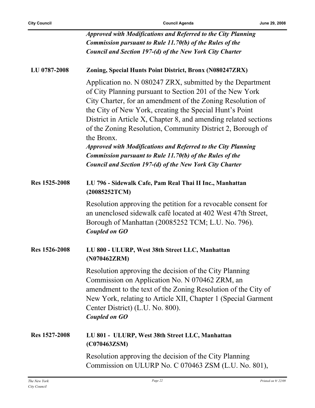$\overline{a}$ 

|               | <b>Approved with Modifications and Referred to the City Planning</b><br><b>Commission pursuant to Rule 11.70(b) of the Rules of the</b>                                                                                                                                                                                                                                                                                                                                                                                                                                                              |
|---------------|------------------------------------------------------------------------------------------------------------------------------------------------------------------------------------------------------------------------------------------------------------------------------------------------------------------------------------------------------------------------------------------------------------------------------------------------------------------------------------------------------------------------------------------------------------------------------------------------------|
|               | Council and Section 197-(d) of the New York City Charter                                                                                                                                                                                                                                                                                                                                                                                                                                                                                                                                             |
| LU 0787-2008  | Zoning, Special Hunts Point District, Bronx (N080247ZRX)                                                                                                                                                                                                                                                                                                                                                                                                                                                                                                                                             |
|               | Application no. N 080247 ZRX, submitted by the Department<br>of City Planning pursuant to Section 201 of the New York<br>City Charter, for an amendment of the Zoning Resolution of<br>the City of New York, creating the Special Hunt's Point<br>District in Article X, Chapter 8, and amending related sections<br>of the Zoning Resolution, Community District 2, Borough of<br>the Bronx.<br><b>Approved with Modifications and Referred to the City Planning</b><br><b>Commission pursuant to Rule 11.70(b) of the Rules of the</b><br>Council and Section 197-(d) of the New York City Charter |
| Res 1525-2008 | LU 796 - Sidewalk Cafe, Pam Real Thai II Inc., Manhattan<br>(20085252TCM)                                                                                                                                                                                                                                                                                                                                                                                                                                                                                                                            |
|               | Resolution approving the petition for a revocable consent for<br>an unenclosed sidewalk café located at 402 West 47th Street,<br>Borough of Manhattan (20085252 TCM; L.U. No. 796).<br><b>Coupled on GO</b>                                                                                                                                                                                                                                                                                                                                                                                          |
| Res 1526-2008 | LU 800 - ULURP, West 38th Street LLC, Manhattan<br>(N070462ZRM)                                                                                                                                                                                                                                                                                                                                                                                                                                                                                                                                      |
|               | Resolution approving the decision of the City Planning<br>Commission on Application No. N 070462 ZRM, an<br>amendment to the text of the Zoning Resolution of the City of<br>New York, relating to Article XII, Chapter 1 (Special Garment<br>Center District) (L.U. No. 800).<br><b>Coupled on GO</b>                                                                                                                                                                                                                                                                                               |
| Res 1527-2008 | LU 801 - ULURP, West 38th Street LLC, Manhattan<br>(C070463ZSM)                                                                                                                                                                                                                                                                                                                                                                                                                                                                                                                                      |
|               | Resolution approving the decision of the City Planning<br>Commission on ULURP No. C 070463 ZSM (L.U. No. 801),                                                                                                                                                                                                                                                                                                                                                                                                                                                                                       |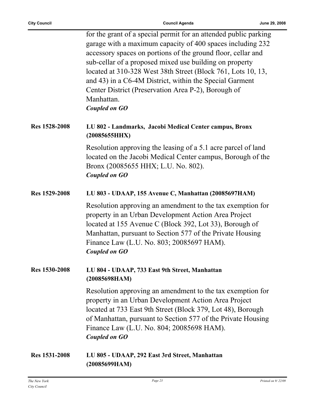|                      | for the grant of a special permit for an attended public parking<br>garage with a maximum capacity of 400 spaces including 232<br>accessory spaces on portions of the ground floor, cellar and<br>sub-cellar of a proposed mixed use building on property<br>located at 310-328 West 38th Street (Block 761, Lots 10, 13,<br>and 43) in a C6-4M District, within the Special Garment<br>Center District (Preservation Area P-2), Borough of<br>Manhattan.<br><b>Coupled on GO</b> |
|----------------------|-----------------------------------------------------------------------------------------------------------------------------------------------------------------------------------------------------------------------------------------------------------------------------------------------------------------------------------------------------------------------------------------------------------------------------------------------------------------------------------|
| Res 1528-2008        | LU 802 - Landmarks, Jacobi Medical Center campus, Bronx<br>(20085655HHX)                                                                                                                                                                                                                                                                                                                                                                                                          |
|                      | Resolution approving the leasing of a 5.1 acre parcel of land<br>located on the Jacobi Medical Center campus, Borough of the<br>Bronx (20085655 HHX; L.U. No. 802).<br><b>Coupled on GO</b>                                                                                                                                                                                                                                                                                       |
| Res 1529-2008        | LU 803 - UDAAP, 155 Avenue C, Manhattan (20085697HAM)                                                                                                                                                                                                                                                                                                                                                                                                                             |
|                      | Resolution approving an amendment to the tax exemption for<br>property in an Urban Development Action Area Project<br>located at 155 Avenue C (Block 392, Lot 33), Borough of<br>Manhattan, pursuant to Section 577 of the Private Housing<br>Finance Law (L.U. No. 803; 20085697 HAM).<br><b>Coupled on GO</b>                                                                                                                                                                   |
| Res 1530-2008        | LU 804 - UDAAP, 733 East 9th Street, Manhattan<br>(20085698HAM)                                                                                                                                                                                                                                                                                                                                                                                                                   |
|                      | Resolution approving an amendment to the tax exemption for<br>property in an Urban Development Action Area Project<br>located at 733 East 9th Street (Block 379, Lot 48), Borough<br>of Manhattan, pursuant to Section 577 of the Private Housing<br>Finance Law (L.U. No. 804; 20085698 HAM).<br><b>Coupled on GO</b>                                                                                                                                                            |
| <b>Res 1531-2008</b> | LU 805 - UDAAP, 292 East 3rd Street, Manhattan<br>(20085699HAM)                                                                                                                                                                                                                                                                                                                                                                                                                   |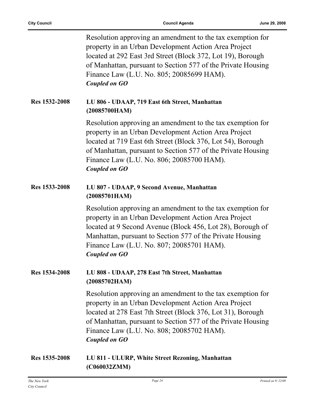|               | Resolution approving an amendment to the tax exemption for<br>property in an Urban Development Action Area Project<br>located at 292 East 3rd Street (Block 372, Lot 19), Borough<br>of Manhattan, pursuant to Section 577 of the Private Housing<br>Finance Law (L.U. No. 805; 20085699 HAM).<br><b>Coupled on GO</b> |
|---------------|------------------------------------------------------------------------------------------------------------------------------------------------------------------------------------------------------------------------------------------------------------------------------------------------------------------------|
| Res 1532-2008 | LU 806 - UDAAP, 719 East 6th Street, Manhattan<br>(20085700HAM)                                                                                                                                                                                                                                                        |
|               | Resolution approving an amendment to the tax exemption for<br>property in an Urban Development Action Area Project<br>located at 719 East 6th Street (Block 376, Lot 54), Borough<br>of Manhattan, pursuant to Section 577 of the Private Housing<br>Finance Law (L.U. No. 806; 20085700 HAM).<br><b>Coupled on GO</b> |
| Res 1533-2008 | LU 807 - UDAAP, 9 Second Avenue, Manhattan<br>(20085701HAM)                                                                                                                                                                                                                                                            |
|               | Resolution approving an amendment to the tax exemption for<br>property in an Urban Development Action Area Project<br>located at 9 Second Avenue (Block 456, Lot 28), Borough of<br>Manhattan, pursuant to Section 577 of the Private Housing<br>Finance Law (L.U. No. 807; 20085701 HAM).<br><b>Coupled on GO</b>     |
| Res 1534-2008 | LU 808 - UDAAP, 278 East 7th Street, Manhattan<br>(20085702HAM)                                                                                                                                                                                                                                                        |
|               | Resolution approving an amendment to the tax exemption for<br>property in an Urban Development Action Area Project<br>located at 278 East 7th Street (Block 376, Lot 31), Borough<br>of Manhattan, pursuant to Section 577 of the Private Housing<br>Finance Law (L.U. No. 808; 20085702 HAM).<br><b>Coupled on GO</b> |
| Res 1535-2008 | LU 811 - ULURP, White Street Rezoning, Manhattan<br>(C060032ZMM)                                                                                                                                                                                                                                                       |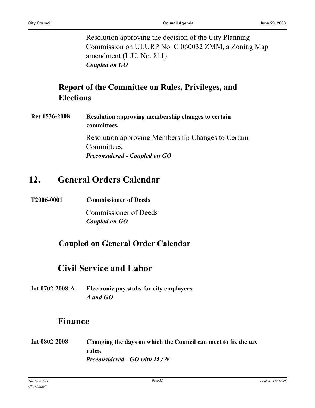Resolution approving the decision of the City Planning Commission on ULURP No. C 060032 ZMM, a Zoning Map amendment (L.U. No. 811). *Coupled on GO*

## **Report of the Committee on Rules, Privileges, and Elections**

**Res 1536-2008 Resolution approving membership changes to certain committees.** Resolution approving Membership Changes to Certain

Committees. *Preconsidered - Coupled on GO*

# **12. General Orders Calendar**

**T2006-0001 Commissioner of Deeds**

Commissioner of Deeds *Coupled on GO*

## **Coupled on General Order Calendar**

# **Civil Service and Labor**

**Int 0702-2008-A Electronic pay stubs for city employees.** *A and GO*

# **Finance**

**Int 0802-2008 Changing the days on which the Council can meet to fix the tax rates.** *Preconsidered - GO with M / N*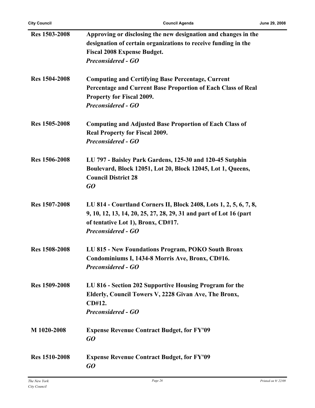| <b>Res</b> 1503-2008 | Approving or disclosing the new designation and changes in the<br>designation of certain organizations to receive funding in the<br><b>Fiscal 2008 Expense Budget.</b><br><b>Preconsidered - GO</b>        |
|----------------------|------------------------------------------------------------------------------------------------------------------------------------------------------------------------------------------------------------|
| <b>Res</b> 1504-2008 | <b>Computing and Certifying Base Percentage, Current</b><br>Percentage and Current Base Proportion of Each Class of Real<br><b>Property for Fiscal 2009.</b><br><b>Preconsidered - GO</b>                  |
| <b>Res</b> 1505-2008 | <b>Computing and Adjusted Base Proportion of Each Class of</b><br><b>Real Property for Fiscal 2009.</b><br><b>Preconsidered - GO</b>                                                                       |
| Res 1506-2008        | LU 797 - Baisley Park Gardens, 125-30 and 120-45 Sutphin<br>Boulevard, Block 12051, Lot 20, Block 12045, Lot 1, Queens,<br><b>Council District 28</b><br>GO                                                |
| <b>Res 1507-2008</b> | LU 814 - Courtland Corners II, Block 2408, Lots 1, 2, 5, 6, 7, 8,<br>9, 10, 12, 13, 14, 20, 25, 27, 28, 29, 31 and part of Lot 16 (part<br>of tentative Lot 1), Bronx, CD#17.<br><b>Preconsidered - GO</b> |
| <b>Res 1508-2008</b> | LU 815 - New Foundations Program, POKO South Bronx<br>Condominiums I, 1434-8 Morris Ave, Bronx, CD#16.<br><b>Preconsidered - GO</b>                                                                        |
| <b>Res</b> 1509-2008 | LU 816 - Section 202 Supportive Housing Program for the<br>Elderly, Council Towers V, 2228 Givan Ave, The Bronx,<br>CD#12.<br><b>Preconsidered - GO</b>                                                    |
| M 1020-2008          | <b>Expense Revenue Contract Budget, for FY'09</b><br>GQ                                                                                                                                                    |
| <b>Res 1510-2008</b> | <b>Expense Revenue Contract Budget, for FY'09</b><br>GO                                                                                                                                                    |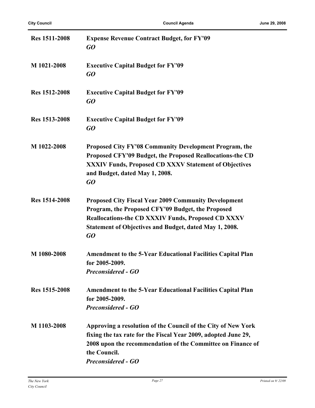| <b>Res 1511-2008</b> | <b>Expense Revenue Contract Budget, for FY'09</b><br>GO                                                                                                                                                                                       |
|----------------------|-----------------------------------------------------------------------------------------------------------------------------------------------------------------------------------------------------------------------------------------------|
| M 1021-2008          | <b>Executive Capital Budget for FY'09</b><br>GO                                                                                                                                                                                               |
| Res 1512-2008        | <b>Executive Capital Budget for FY'09</b><br>GO                                                                                                                                                                                               |
| <b>Res 1513-2008</b> | <b>Executive Capital Budget for FY'09</b><br>GO                                                                                                                                                                                               |
| M 1022-2008          | Proposed City FY'08 Community Development Program, the<br>Proposed CFY'09 Budget, the Proposed Reallocations-the CD<br>XXXIV Funds, Proposed CD XXXV Statement of Objectives<br>and Budget, dated May 1, 2008.<br>GO                          |
| Res 1514-2008        | <b>Proposed City Fiscal Year 2009 Community Development</b><br>Program, the Proposed CFY'09 Budget, the Proposed<br><b>Reallocations-the CD XXXIV Funds, Proposed CD XXXV</b><br>Statement of Objectives and Budget, dated May 1, 2008.<br>GO |
| M 1080-2008          | <b>Amendment to the 5-Year Educational Facilities Capital Plan</b><br>for 2005-2009.<br><b>Preconsidered - GO</b>                                                                                                                             |
| Res 1515-2008        | <b>Amendment to the 5-Year Educational Facilities Capital Plan</b><br>for 2005-2009.<br><b>Preconsidered - GO</b>                                                                                                                             |
| M 1103-2008          | Approving a resolution of the Council of the City of New York<br>fixing the tax rate for the Fiscal Year 2009, adopted June 29,<br>2008 upon the recommendation of the Committee on Finance of<br>the Council.<br><b>Preconsidered - GO</b>   |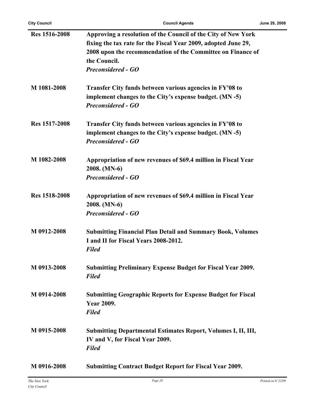| Res 1516-2008        | Approving a resolution of the Council of the City of New York        |
|----------------------|----------------------------------------------------------------------|
|                      | fixing the tax rate for the Fiscal Year 2009, adopted June 29,       |
|                      | 2008 upon the recommendation of the Committee on Finance of          |
|                      | the Council.                                                         |
|                      |                                                                      |
|                      | <b>Preconsidered - GO</b>                                            |
| M 1081-2008          | Transfer City funds between various agencies in FY'08 to             |
|                      | implement changes to the City's expense budget. (MN -5)              |
|                      | <b>Preconsidered - GO</b>                                            |
|                      |                                                                      |
| Res 1517-2008        | Transfer City funds between various agencies in FY'08 to             |
|                      | implement changes to the City's expense budget. (MN -5)              |
|                      | <b>Preconsidered - GO</b>                                            |
|                      |                                                                      |
| M 1082-2008          | Appropriation of new revenues of \$69.4 million in Fiscal Year       |
|                      | 2008. (MN-6)                                                         |
|                      | <b>Preconsidered - GO</b>                                            |
| <b>Res 1518-2008</b> | Appropriation of new revenues of \$69.4 million in Fiscal Year       |
|                      | 2008. (MN-6)                                                         |
|                      | <b>Preconsidered - GO</b>                                            |
|                      |                                                                      |
| M 0912-2008          | <b>Submitting Financial Plan Detail and Summary Book, Volumes</b>    |
|                      | I and II for Fiscal Years 2008-2012.                                 |
|                      | <b>Filed</b>                                                         |
|                      |                                                                      |
| M 0913-2008          | <b>Submitting Preliminary Expense Budget for Fiscal Year 2009.</b>   |
|                      | <b>Filed</b>                                                         |
|                      |                                                                      |
| M 0914-2008          | <b>Submitting Geographic Reports for Expense Budget for Fiscal</b>   |
|                      | <b>Year 2009.</b>                                                    |
|                      | <b>Filed</b>                                                         |
| M 0915-2008          | <b>Submitting Departmental Estimates Report, Volumes I, II, III,</b> |
|                      | IV and V, for Fiscal Year 2009.                                      |
|                      | <b>Filed</b>                                                         |
|                      |                                                                      |
| M 0916-2008          | <b>Submitting Contract Budget Report for Fiscal Year 2009.</b>       |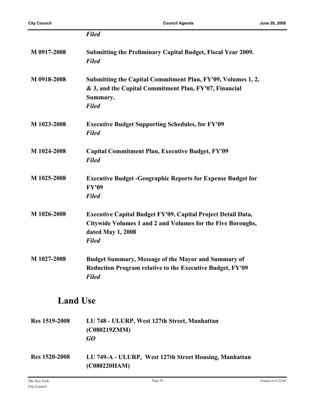|                      | <b>Filed</b>                                                                                                                                                            |  |
|----------------------|-------------------------------------------------------------------------------------------------------------------------------------------------------------------------|--|
| M 0917-2008          | Submitting the Preliminary Capital Budget, Fiscal Year 2009.<br><b>Filed</b>                                                                                            |  |
| M 0918-2008          | Submitting the Capital Commitment Plan, FY'09, Volumes 1, 2,<br>& 3, and the Capital Commitment Plan, FY'07, Financial<br>Summary.<br><b>Filed</b>                      |  |
| M 1023-2008          | <b>Executive Budget Supporting Schedules, for FY'09</b><br><b>Filed</b>                                                                                                 |  |
| M 1024-2008          | <b>Capital Commitment Plan, Executive Budget, FY'09</b><br><b>Filed</b>                                                                                                 |  |
| M 1025-2008          | <b>Executive Budget - Geographic Reports for Expense Budget for</b><br><b>FY'09</b><br><b>Filed</b>                                                                     |  |
| M 1026-2008          | <b>Executive Capital Budget FY'09, Capital Project Detail Data,</b><br>Citywide Volumes 1 and 2 and Volumes for the Five Boroughs,<br>dated May 1, 2008<br><b>Filed</b> |  |
| M 1027-2008          | <b>Budget Summary, Message of the Mayor and Summary of</b><br>Reduction Program relative to the Executive Budget, FY'09<br><b>Filed</b>                                 |  |
| <b>Land Use</b>      |                                                                                                                                                                         |  |
| <b>Res 1519-2008</b> | LU 748 - ULURP, West 127th Street, Manhattan<br>(C080219ZMM)<br>$G$ <sup><math>O</math></sup>                                                                           |  |
| <b>Res 1520-2008</b> | LU 749-A - ULURP, West 127th Street Housing, Manhattan<br>(C080220HAM)                                                                                                  |  |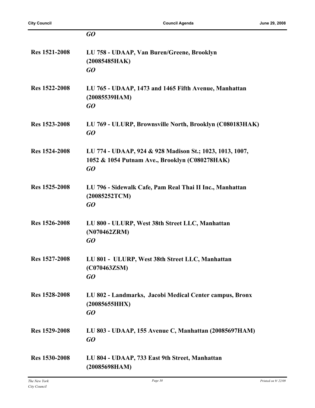|                      | GO                                                                                                               |
|----------------------|------------------------------------------------------------------------------------------------------------------|
| Res 1521-2008        | LU 758 - UDAAP, Van Buren/Greene, Brooklyn<br>(20085485HAK)<br>GQ                                                |
| Res 1522-2008        | LU 765 - UDAAP, 1473 and 1465 Fifth Avenue, Manhattan<br>(20085539HAM)<br>GO                                     |
| Res 1523-2008        | LU 769 - ULURP, Brownsville North, Brooklyn (C080183HAK)<br>GO                                                   |
| <b>Res 1524-2008</b> | LU 774 - UDAAP, 924 & 928 Madison St.; 1023, 1013, 1007,<br>1052 & 1054 Putnam Ave., Brooklyn (C080278HAK)<br>GO |
| Res 1525-2008        | LU 796 - Sidewalk Cafe, Pam Real Thai II Inc., Manhattan<br>(20085252TCM)<br>GO                                  |
| <b>Res</b> 1526-2008 | LU 800 - ULURP, West 38th Street LLC, Manhattan<br>(N070462ZRM)<br>GO                                            |
| Res 1527-2008        | LU 801 - ULURP, West 38th Street LLC, Manhattan<br>(C070463ZSM)<br>GO                                            |
| Res 1528-2008        | LU 802 - Landmarks, Jacobi Medical Center campus, Bronx<br>(20085655HHX)<br>GO                                   |
| Res 1529-2008        | LU 803 - UDAAP, 155 Avenue C, Manhattan (20085697HAM)<br>GO                                                      |
| Res 1530-2008        | LU 804 - UDAAP, 733 East 9th Street, Manhattan<br>(20085698HAM)                                                  |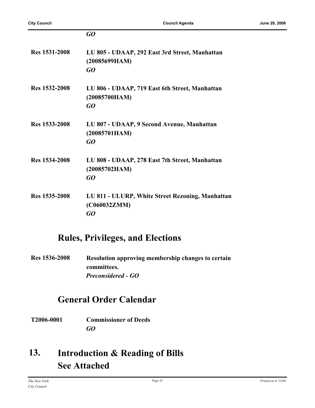|                      | GO                                                                     |
|----------------------|------------------------------------------------------------------------|
| <b>Res 1531-2008</b> | LU 805 - UDAAP, 292 East 3rd Street, Manhattan<br>(20085699HAM)<br>GQ  |
| Res 1532-2008        | LU 806 - UDAAP, 719 East 6th Street, Manhattan<br>(20085700HAM)<br>GQ  |
| Res 1533-2008        | LU 807 - UDAAP, 9 Second Avenue, Manhattan<br>(20085701HAM)<br>GQ      |
| Res 1534-2008        | LU 808 - UDAAP, 278 East 7th Street, Manhattan<br>(20085702HAM)<br>GQ  |
| Res 1535-2008        | LU 811 - ULURP, White Street Rezoning, Manhattan<br>(C060032ZMM)<br>GQ |

## **Rules, Privileges, and Elections**

**Res 1536-2008 Resolution approving membership changes to certain committees.** *Preconsidered - GO*

# **General Order Calendar**

**T2006-0001 Commissioner of Deeds** *GO*

#### **Introduction & Reading of Bills See Attached 13.**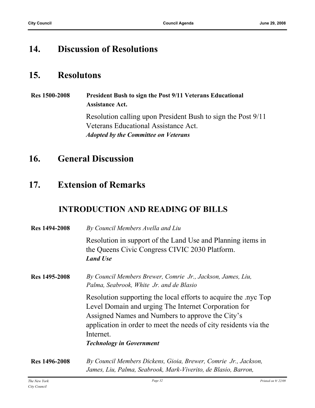## **14. Discussion of Resolutions**

## **15. Resolutons**

**Res 1500-2008 President Bush to sign the Post 9/11 Veterans Educational Assistance Act.** Resolution calling upon President Bush to sign the Post 9/11 Veterans Educational Assistance Act. *Adopted by the Committee on Veterans*

# **16. General Discussion**

## **17. Extension of Remarks**

## **INTRODUCTION AND READING OF BILLS**

| <b>Res</b> 1494-2008 | By Council Members Avella and Liu                                                                                                                                                                                                                                                              |
|----------------------|------------------------------------------------------------------------------------------------------------------------------------------------------------------------------------------------------------------------------------------------------------------------------------------------|
|                      | Resolution in support of the Land Use and Planning items in<br>the Queens Civic Congress CIVIC 2030 Platform.<br><b>Land Use</b>                                                                                                                                                               |
| Res 1495-2008        | By Council Members Brewer, Comrie Jr., Jackson, James, Liu,<br>Palma, Seabrook, White Jr. and de Blasio                                                                                                                                                                                        |
|                      | Resolution supporting the local efforts to acquire the nyc Top<br>Level Domain and urging The Internet Corporation for<br>Assigned Names and Numbers to approve the City's<br>application in order to meet the needs of city residents via the<br>Internet.<br><b>Technology in Government</b> |
| <b>Res</b> 1496-2008 | By Council Members Dickens, Gioia, Brewer, Comrie Jr., Jackson,<br>James, Liu, Palma, Seabrook, Mark-Viverito, de Blasio, Barron,                                                                                                                                                              |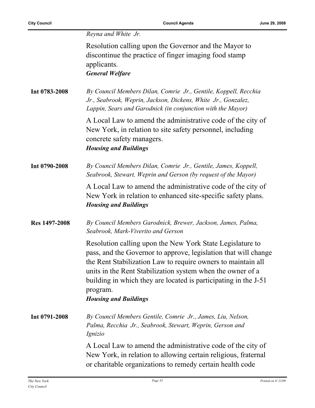|  |  |  | Reyna and White Jr. |  |
|--|--|--|---------------------|--|
|--|--|--|---------------------|--|

Resolution calling upon the Governor and the Mayor to discontinue the practice of finger imaging food stamp applicants. *General Welfare*

**Int 0783-2008** *By Council Members Dilan, Comrie Jr., Gentile, Koppell, Recchia Jr., Seabrook, Weprin, Jackson, Dickens, White Jr., Gonzalez, Lappin, Sears and Garodnick (in conjunction with the Mayor)*

> A Local Law to amend the administrative code of the city of New York, in relation to site safety personnel, including concrete safety managers. *Housing and Buildings*

**Int 0790-2008** *By Council Members Dilan, Comrie Jr., Gentile, James, Koppell, Seabrook, Stewart, Weprin and Gerson (by request of the Mayor)*

> A Local Law to amend the administrative code of the city of New York in relation to enhanced site-specific safety plans. *Housing and Buildings*

**Res 1497-2008** *By Council Members Garodnick, Brewer, Jackson, James, Palma, Seabrook, Mark-Viverito and Gerson*

> Resolution calling upon the New York State Legislature to pass, and the Governor to approve, legislation that will change the Rent Stabilization Law to require owners to maintain all units in the Rent Stabilization system when the owner of a building in which they are located is participating in the J-51 program.

#### *Housing and Buildings*

**Int 0791-2008** *By Council Members Gentile, Comrie Jr., James, Liu, Nelson, Palma, Recchia Jr., Seabrook, Stewart, Weprin, Gerson and Ignizio*

> A Local Law to amend the administrative code of the city of New York, in relation to allowing certain religious, fraternal or charitable organizations to remedy certain health code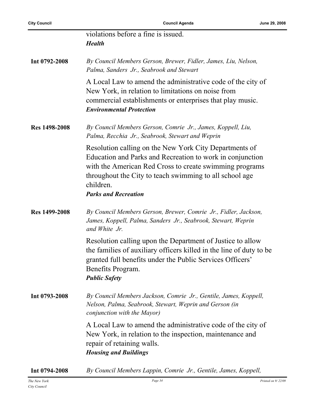|                      | violations before a fine is issued.<br><b>Health</b>                                                                                                                                                                                                                                  |
|----------------------|---------------------------------------------------------------------------------------------------------------------------------------------------------------------------------------------------------------------------------------------------------------------------------------|
| Int 0792-2008        | By Council Members Gerson, Brewer, Fidler, James, Liu, Nelson,<br>Palma, Sanders Jr., Seabrook and Stewart                                                                                                                                                                            |
|                      | A Local Law to amend the administrative code of the city of<br>New York, in relation to limitations on noise from<br>commercial establishments or enterprises that play music.<br><b>Environmental Protection</b>                                                                     |
| <b>Res 1498-2008</b> | By Council Members Gerson, Comrie Jr., James, Koppell, Liu,<br>Palma, Recchia Jr., Seabrook, Stewart and Weprin                                                                                                                                                                       |
|                      | Resolution calling on the New York City Departments of<br>Education and Parks and Recreation to work in conjunction<br>with the American Red Cross to create swimming programs<br>throughout the City to teach swimming to all school age<br>children.<br><b>Parks and Recreation</b> |
| Res 1499-2008        | By Council Members Gerson, Brewer, Comrie Jr., Fidler, Jackson,<br>James, Koppell, Palma, Sanders Jr., Seabrook, Stewart, Weprin<br>and White Jr.                                                                                                                                     |
|                      | Resolution calling upon the Department of Justice to allow<br>the families of auxiliary officers killed in the line of duty to be<br>granted full benefits under the Public Services Officers'<br>Benefits Program.<br><b>Public Safety</b>                                           |
| Int 0793-2008        | By Council Members Jackson, Comrie Jr., Gentile, James, Koppell,<br>Nelson, Palma, Seabrook, Stewart, Weprin and Gerson (in<br>conjunction with the Mayor)                                                                                                                            |
|                      | A Local Law to amend the administrative code of the city of<br>New York, in relation to the inspection, maintenance and<br>repair of retaining walls.<br><b>Housing and Buildings</b>                                                                                                 |
| Int 0794-2008        | By Council Members Lappin, Comrie Jr., Gentile, James, Koppell,                                                                                                                                                                                                                       |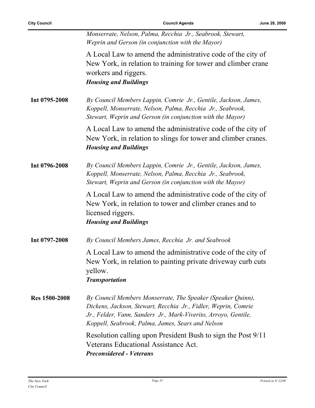|                      | Monserrate, Nelson, Palma, Recchia Jr., Seabrook, Stewart,<br>Weprin and Gerson (in conjunction with the Mayor)                                                                                                                                       |
|----------------------|-------------------------------------------------------------------------------------------------------------------------------------------------------------------------------------------------------------------------------------------------------|
|                      | A Local Law to amend the administrative code of the city of<br>New York, in relation to training for tower and climber crane<br>workers and riggers.<br><b>Housing and Buildings</b>                                                                  |
| Int 0795-2008        | By Council Members Lappin, Comrie Jr., Gentile, Jackson, James,<br>Koppell, Monserrate, Nelson, Palma, Recchia Jr., Seabrook,<br>Stewart, Weprin and Gerson (in conjunction with the Mayor)                                                           |
|                      | A Local Law to amend the administrative code of the city of<br>New York, in relation to slings for tower and climber cranes.<br><b>Housing and Buildings</b>                                                                                          |
| Int 0796-2008        | By Council Members Lappin, Comrie Jr., Gentile, Jackson, James,<br>Koppell, Monserrate, Nelson, Palma, Recchia Jr., Seabrook,<br>Stewart, Weprin and Gerson (in conjunction with the Mayor)                                                           |
|                      | A Local Law to amend the administrative code of the city of<br>New York, in relation to tower and climber cranes and to<br>licensed riggers.<br><b>Housing and Buildings</b>                                                                          |
| Int 0797-2008        | By Council Members James, Recchia Jr. and Seabrook                                                                                                                                                                                                    |
|                      | A Local Law to amend the administrative code of the city of<br>New York, in relation to painting private driveway curb cuts<br>yellow.<br><b>Transportation</b>                                                                                       |
| <b>Res</b> 1500-2008 | By Council Members Monserrate, The Speaker (Speaker Quinn),<br>Dickens, Jackson, Stewart, Recchia Jr., Fidler, Weprin, Comrie<br>Jr., Felder, Vann, Sanders Jr., Mark-Viverito, Arroyo, Gentile,<br>Koppell, Seabrook, Palma, James, Sears and Nelson |
|                      | Resolution calling upon President Bush to sign the Post 9/11<br>Veterans Educational Assistance Act.<br><b>Preconsidered - Veterans</b>                                                                                                               |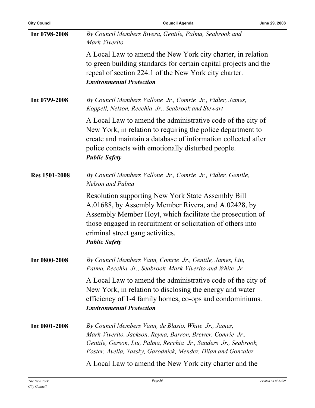| <b>City Council</b>  | <b>Council Agenda</b>                                                                                                                                                                                                                                                                                    | June 29, 2008 |
|----------------------|----------------------------------------------------------------------------------------------------------------------------------------------------------------------------------------------------------------------------------------------------------------------------------------------------------|---------------|
| Int 0798-2008        | By Council Members Rivera, Gentile, Palma, Seabrook and<br>Mark-Viverito                                                                                                                                                                                                                                 |               |
|                      | A Local Law to amend the New York city charter, in relation<br>to green building standards for certain capital projects and the<br>repeal of section 224.1 of the New York city charter.<br><b>Environmental Protection</b>                                                                              |               |
| Int 0799-2008        | By Council Members Vallone Jr., Comrie Jr., Fidler, James,<br>Koppell, Nelson, Recchia Jr., Seabrook and Stewart                                                                                                                                                                                         |               |
|                      | A Local Law to amend the administrative code of the city of<br>New York, in relation to requiring the police department to<br>create and maintain a database of information collected after<br>police contacts with emotionally disturbed people.<br><b>Public Safety</b>                                |               |
| <b>Res 1501-2008</b> | By Council Members Vallone Jr., Comrie Jr., Fidler, Gentile,<br>Nelson and Palma                                                                                                                                                                                                                         |               |
|                      | <b>Resolution supporting New York State Assembly Bill</b><br>A.01688, by Assembly Member Rivera, and A.02428, by<br>Assembly Member Hoyt, which facilitate the prosecution of<br>those engaged in recruitment or solicitation of others into<br>criminal street gang activities.<br><b>Public Safety</b> |               |
| Int 0800-2008        | By Council Members Vann, Comrie Jr., Gentile, James, Liu,<br>Palma, Recchia Jr., Seabrook, Mark-Viverito and White Jr.                                                                                                                                                                                   |               |
|                      | A Local Law to amend the administrative code of the city of<br>New York, in relation to disclosing the energy and water<br>efficiency of 1-4 family homes, co-ops and condominiums.<br><b>Environmental Protection</b>                                                                                   |               |
| Int 0801-2008        | By Council Members Vann, de Blasio, White Jr., James,<br>Mark-Viverito, Jackson, Reyna, Barron, Brewer, Comrie Jr.,<br>Gentile, Gerson, Liu, Palma, Recchia Jr., Sanders Jr., Seabrook,<br>Foster, Avella, Yassky, Garodnick, Mendez, Dilan and Gonzalez                                                 |               |
|                      | A Local Law to amend the New York city charter and the                                                                                                                                                                                                                                                   |               |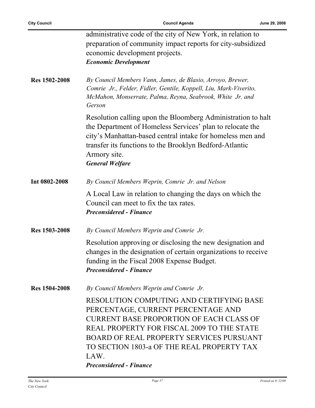$\overline{a}$ 

|                      | administrative code of the city of New York, in relation to       |
|----------------------|-------------------------------------------------------------------|
|                      | preparation of community impact reports for city-subsidized       |
|                      | economic development projects.                                    |
|                      | <b>Economic Development</b>                                       |
|                      |                                                                   |
| <b>Res 1502-2008</b> | By Council Members Vann, James, de Blasio, Arroyo, Brewer,        |
|                      | Comrie Jr., Felder, Fidler, Gentile, Koppell, Liu, Mark-Viverito, |
|                      | McMahon, Monserrate, Palma, Reyna, Seabrook, White Jr. and        |
|                      | Gerson                                                            |
|                      | Resolution calling upon the Bloomberg Administration to halt      |
|                      |                                                                   |
|                      | the Department of Homeless Services' plan to relocate the         |
|                      | city's Manhattan-based central intake for homeless men and        |
|                      | transfer its functions to the Brooklyn Bedford-Atlantic           |
|                      | Armory site.                                                      |
|                      | <b>General Welfare</b>                                            |
|                      |                                                                   |
| Int 0802-2008        | By Council Members Weprin, Comrie Jr. and Nelson                  |
|                      | A Local Law in relation to changing the days on which the         |
|                      | Council can meet to fix the tax rates.                            |
|                      | <b>Preconsidered - Finance</b>                                    |
|                      |                                                                   |
| <b>Res 1503-2008</b> | By Council Members Weprin and Comrie Jr.                          |
|                      | Resolution approving or disclosing the new designation and        |
|                      | changes in the designation of certain organizations to receive    |
|                      | funding in the Fiscal 2008 Expense Budget.                        |
|                      | <b>Preconsidered - Finance</b>                                    |
|                      |                                                                   |
| <b>Res 1504-2008</b> | By Council Members Weprin and Comrie Jr.                          |
|                      | RESOLUTION COMPUTING AND CERTIFYING BASE                          |
|                      | PERCENTAGE, CURRENT PERCENTAGE AND                                |
|                      | <b>CURRENT BASE PROPORTION OF EACH CLASS OF</b>                   |
|                      | REAL PROPERTY FOR FISCAL 2009 TO THE STATE                        |
|                      | <b>BOARD OF REAL PROPERTY SERVICES PURSUANT</b>                   |
|                      |                                                                   |
|                      | TO SECTION 1803-a OF THE REAL PROPERTY TAX                        |
|                      | LAW.                                                              |
|                      | <b>Preconsidered - Finance</b>                                    |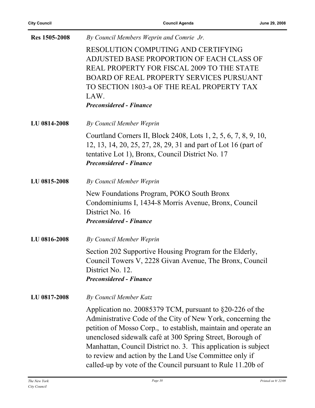| Res 1505-2008 | By Council Members Weprin and Comrie Jr.                                                                                                                                                                                                                                                                                                                                                                                                              |
|---------------|-------------------------------------------------------------------------------------------------------------------------------------------------------------------------------------------------------------------------------------------------------------------------------------------------------------------------------------------------------------------------------------------------------------------------------------------------------|
|               | RESOLUTION COMPUTING AND CERTIFYING<br>ADJUSTED BASE PROPORTION OF EACH CLASS OF<br>REAL PROPERTY FOR FISCAL 2009 TO THE STATE<br><b>BOARD OF REAL PROPERTY SERVICES PURSUANT</b><br>TO SECTION 1803-a OF THE REAL PROPERTY TAX<br>LAW.<br><b>Preconsidered - Finance</b>                                                                                                                                                                             |
| LU 0814-2008  | By Council Member Weprin                                                                                                                                                                                                                                                                                                                                                                                                                              |
|               | Courtland Corners II, Block 2408, Lots 1, 2, 5, 6, 7, 8, 9, 10,<br>12, 13, 14, 20, 25, 27, 28, 29, 31 and part of Lot 16 (part of<br>tentative Lot 1), Bronx, Council District No. 17<br><b>Preconsidered - Finance</b>                                                                                                                                                                                                                               |
| LU 0815-2008  | By Council Member Weprin                                                                                                                                                                                                                                                                                                                                                                                                                              |
|               | New Foundations Program, POKO South Bronx<br>Condominiums I, 1434-8 Morris Avenue, Bronx, Council<br>District No. 16<br><b>Preconsidered - Finance</b>                                                                                                                                                                                                                                                                                                |
| LU 0816-2008  | By Council Member Weprin                                                                                                                                                                                                                                                                                                                                                                                                                              |
|               | Section 202 Supportive Housing Program for the Elderly,<br>Council Towers V, 2228 Givan Avenue, The Bronx, Council<br>District No. 12.<br><b>Preconsidered - Finance</b>                                                                                                                                                                                                                                                                              |
| LU 0817-2008  | <b>By Council Member Katz</b>                                                                                                                                                                                                                                                                                                                                                                                                                         |
|               | Application no. 20085379 TCM, pursuant to $\S 20-226$ of the<br>Administrative Code of the City of New York, concerning the<br>petition of Mosso Corp., to establish, maintain and operate an<br>unenclosed sidewalk café at 300 Spring Street, Borough of<br>Manhattan, Council District no. 3. This application is subject<br>to review and action by the Land Use Committee only if<br>called-up by vote of the Council pursuant to Rule 11.20b of |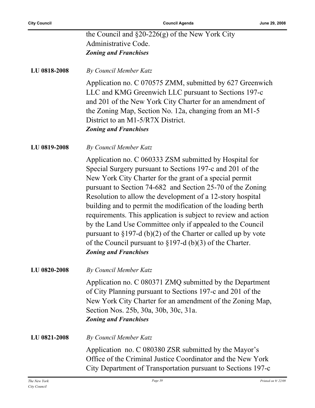| <b>City Council</b> | <b>Council Agenda</b>                                                                                                                                                                                                                                                                                                                                                                                                                                                                                                                                                                                                                                                          | June 29, 2008 |
|---------------------|--------------------------------------------------------------------------------------------------------------------------------------------------------------------------------------------------------------------------------------------------------------------------------------------------------------------------------------------------------------------------------------------------------------------------------------------------------------------------------------------------------------------------------------------------------------------------------------------------------------------------------------------------------------------------------|---------------|
|                     | the Council and $\S20-226(g)$ of the New York City                                                                                                                                                                                                                                                                                                                                                                                                                                                                                                                                                                                                                             |               |
|                     | Administrative Code.                                                                                                                                                                                                                                                                                                                                                                                                                                                                                                                                                                                                                                                           |               |
|                     | <b>Zoning and Franchises</b>                                                                                                                                                                                                                                                                                                                                                                                                                                                                                                                                                                                                                                                   |               |
| LU 0818-2008        | By Council Member Katz                                                                                                                                                                                                                                                                                                                                                                                                                                                                                                                                                                                                                                                         |               |
|                     | Application no. C 070575 ZMM, submitted by 627 Greenwich<br>LLC and KMG Greenwich LLC pursuant to Sections 197-c<br>and 201 of the New York City Charter for an amendment of<br>the Zoning Map, Section No. 12a, changing from an M1-5<br>District to an M1-5/R7X District.<br><b>Zoning and Franchises</b>                                                                                                                                                                                                                                                                                                                                                                    |               |
| LU 0819-2008        | By Council Member Katz                                                                                                                                                                                                                                                                                                                                                                                                                                                                                                                                                                                                                                                         |               |
|                     | Application no. C 060333 ZSM submitted by Hospital for<br>Special Surgery pursuant to Sections 197-c and 201 of the<br>New York City Charter for the grant of a special permit<br>pursuant to Section 74-682 and Section 25-70 of the Zoning<br>Resolution to allow the development of a 12-story hospital<br>building and to permit the modification of the loading berth<br>requirements. This application is subject to review and action<br>by the Land Use Committee only if appealed to the Council<br>pursuant to $\S 197-d$ (b)(2) of the Charter or called up by vote<br>of the Council pursuant to $\S 197-d$ (b)(3) of the Charter.<br><b>Zoning and Franchises</b> |               |
| LU 0820-2008        | By Council Member Katz                                                                                                                                                                                                                                                                                                                                                                                                                                                                                                                                                                                                                                                         |               |
|                     | Application no. C 080371 ZMQ submitted by the Department<br>of City Planning pursuant to Sections 197-c and 201 of the<br>New York City Charter for an amendment of the Zoning Map,<br>Section Nos. 25b, 30a, 30b, 30c, 31a.<br><b>Zoning and Franchises</b>                                                                                                                                                                                                                                                                                                                                                                                                                   |               |
| LU 0821-2008        | By Council Member Katz                                                                                                                                                                                                                                                                                                                                                                                                                                                                                                                                                                                                                                                         |               |
|                     | Application no. C 080380 ZSR submitted by the Mayor's<br>Office of the Criminal Justice Coordinator and the New York<br>City Department of Transportation pursuant to Sections 197-c                                                                                                                                                                                                                                                                                                                                                                                                                                                                                           |               |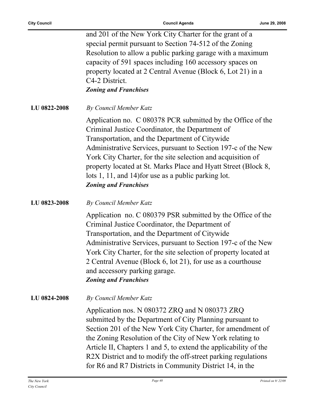| <b>City Council</b> | <b>Council Agenda</b>                                                                                                                                                                                                                                                                                                                                                                                                                                       | June 29, 2008 |
|---------------------|-------------------------------------------------------------------------------------------------------------------------------------------------------------------------------------------------------------------------------------------------------------------------------------------------------------------------------------------------------------------------------------------------------------------------------------------------------------|---------------|
|                     | and 201 of the New York City Charter for the grant of a<br>special permit pursuant to Section 74-512 of the Zoning<br>Resolution to allow a public parking garage with a maximum<br>capacity of 591 spaces including 160 accessory spaces on<br>property located at 2 Central Avenue (Block 6, Lot 21) in a<br>C4-2 District.<br><b>Zoning and Franchises</b>                                                                                               |               |
| LU 0822-2008        | By Council Member Katz                                                                                                                                                                                                                                                                                                                                                                                                                                      |               |
|                     | Application no. C 080378 PCR submitted by the Office of the<br>Criminal Justice Coordinator, the Department of<br>Transportation, and the Department of Citywide<br>Administrative Services, pursuant to Section 197-c of the New<br>York City Charter, for the site selection and acquisition of<br>property located at St. Marks Place and Hyatt Street (Block 8,<br>lots 1, 11, and 14) for use as a public parking lot.<br><b>Zoning and Franchises</b> |               |
| LU 0823-2008        | By Council Member Katz                                                                                                                                                                                                                                                                                                                                                                                                                                      |               |
|                     | Application no. C 080379 PSR submitted by the Office of the<br>Criminal Justice Coordinator, the Department of<br>Transportation, and the Department of Citywide<br>Administrative Services, pursuant to Section 197-c of the New<br>York City Charter, for the site selection of property located at<br>2 Central Avenue (Block 6, lot 21), for use as a courthouse<br>and accessory parking garage.<br><b>Zoning and Franchises</b>                       |               |
| LU 0824-2008        | By Council Member Katz                                                                                                                                                                                                                                                                                                                                                                                                                                      |               |
|                     | Application nos. N 080372 ZRQ and N 080373 ZRQ<br>submitted by the Department of City Planning pursuant to<br>Section 201 of the New York City Charter, for amendment of                                                                                                                                                                                                                                                                                    |               |

the Zoning Resolution of the City of New York relating to Article II, Chapters 1 and 5, to extend the applicability of the R2X District and to modify the off-street parking regulations for R6 and R7 Districts in Community District 14, in the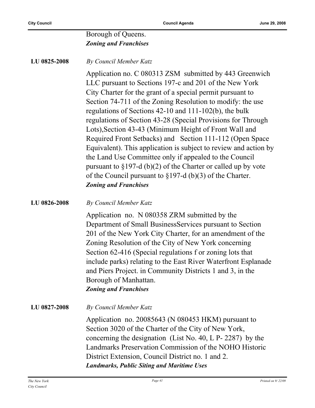#### Borough of Queens. *Zoning and Franchises*

**LU 0825-2008** *By Council Member Katz*

Application no. C 080313 ZSM submitted by 443 Greenwich LLC pursuant to Sections 197-c and 201 of the New York City Charter for the grant of a special permit pursuant to Section 74-711 of the Zoning Resolution to modify: the use regulations of Sections 42-10 and 111-102(b), the bulk regulations of Section 43-28 (Special Provisions for Through Lots),Section 43-43 (Minimum Height of Front Wall and Required Front Setbacks) and Section 111-112 (Open Space Equivalent). This application is subject to review and action by the Land Use Committee only if appealed to the Council pursuant to §197-d (b)(2) of the Charter or called up by vote of the Council pursuant to §197-d (b)(3) of the Charter. *Zoning and Franchises*

#### **LU 0826-2008** *By Council Member Katz*

Application no. N 080358 ZRM submitted by the Department of Small BusinessServices pursuant to Section 201 of the New York City Charter, for an amendment of the Zoning Resolution of the City of New York concerning Section 62-416 (Special regulations f or zoning lots that include parks) relating to the East River Waterfront Esplanade and Piers Project. in Community Districts 1 and 3, in the Borough of Manhattan. *Zoning and Franchises*

#### **LU 0827-2008** *By Council Member Katz*

Application no. 20085643 (N 080453 HKM) pursuant to Section 3020 of the Charter of the City of New York, concerning the designation (List No. 40, L P- 2287) by the Landmarks Preservation Commission of the NOHO Historic District Extension, Council District no. 1 and 2. *Landmarks, Public Siting and Maritime Uses*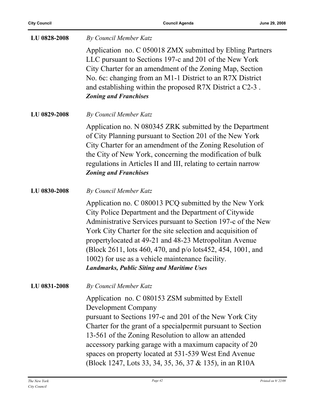| LU 0828-2008 | By Council Member Katz                                                                                                                                                                                                                                                                                                                                                                                                                                                            |
|--------------|-----------------------------------------------------------------------------------------------------------------------------------------------------------------------------------------------------------------------------------------------------------------------------------------------------------------------------------------------------------------------------------------------------------------------------------------------------------------------------------|
|              | Application no. C 050018 ZMX submitted by Ebling Partners<br>LLC pursuant to Sections 197-c and 201 of the New York<br>City Charter for an amendment of the Zoning Map, Section<br>No. 6c: changing from an M1-1 District to an R7X District<br>and establishing within the proposed R7X District a C2-3.<br><b>Zoning and Franchises</b>                                                                                                                                         |
| LU 0829-2008 | By Council Member Katz                                                                                                                                                                                                                                                                                                                                                                                                                                                            |
|              | Application no. N 080345 ZRK submitted by the Department<br>of City Planning pursuant to Section 201 of the New York<br>City Charter for an amendment of the Zoning Resolution of<br>the City of New York, concerning the modification of bulk<br>regulations in Articles II and III, relating to certain narrow<br><b>Zoning and Franchises</b>                                                                                                                                  |
| LU 0830-2008 | By Council Member Katz                                                                                                                                                                                                                                                                                                                                                                                                                                                            |
|              | Application no. C 080013 PCQ submitted by the New York<br>City Police Department and the Department of Citywide<br>Administrative Services pursuant to Section 197-c of the New<br>York City Charter for the site selection and acquisition of<br>propertylocated at 49-21 and 48-23 Metropolitan Avenue<br>(Block 2611, lots 460, 470, and p/o lots 452, 454, 1001, and<br>1002) for use as a vehicle maintenance facility.<br><b>Landmarks, Public Siting and Maritime Uses</b> |
| LU 0831-2008 | By Council Member Katz                                                                                                                                                                                                                                                                                                                                                                                                                                                            |
|              | Application no. C 080153 ZSM submitted by Extell<br><b>Development Company</b><br>pursuant to Sections 197-c and 201 of the New York City<br>Charter for the grant of a special permit pursuant to Section<br>13-561 of the Zoning Resolution to allow an attended<br>accessory parking garage with a maximum capacity of 20<br>spaces on property located at 531-539 West End Avenue<br>(Block 1247, Lots 33, 34, 35, 36, 37 & 135), in an R10A                                  |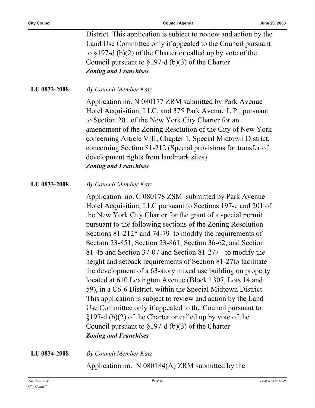District. This application is subject to review and action by the Land Use Committee only if appealed to the Council pursuant to §197-d (b)(2) of the Charter or called up by vote of the Council pursuant to §197-d (b)(3) of the Charter *Zoning and Franchises*

**LU 0832-2008** *By Council Member Katz*

Application no. N 080177 ZRM submitted by Park Avenue Hotel Acquisition, LLC, and 375 Park Avenue L.P., pursuant to Section 201 of the New York City Charter for an amendment of the Zoning Resolution of the City of New York concerning Article VIII, Chapter 1, Special Midtown District, concerning Section 81-212 (Special provisions for transfer of development rights from landmark sites). *Zoning and Franchises*

**LU 0833-2008** *By Council Member Katz*

Application no. C 080178 ZSM submitted by Park Avenue Hotel Acquisition, LLC pursuant to Sections 197-c and 201 of the New York City Charter for the grant of a special permit pursuant to the following sections of the Zoning Resolution Sections 81-212\* and 74-79 to modify the requirements of Section 23-851, Section 23-861, Section 36-62, and Section 81-45 and Section 37-07 and Section 81-277 - to modify the height and setback requirements of Section 81-27to facilitate the development of a 63-story mixed use building on property located at 610 Lexington Avenue (Block 1307, Lots 14 and 59), in a C6-6 District, within the Special Midtown District. This application is subject to review and action by the Land Use Committee only if appealed to the Council pursuant to §197-d (b)(2) of the Charter or called up by vote of the Council pursuant to §197-d (b)(3) of the Charter *Zoning and Franchises*

**LU 0834-2008** *By Council Member Katz*

Application no. N 080184(A) ZRM submitted by the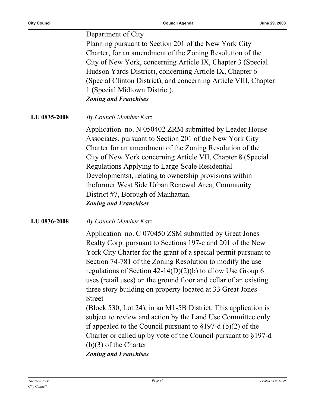Department of City Planning pursuant to Section 201 of the New York City Charter, for an amendment of the Zoning Resolution of the City of New York, concerning Article IX, Chapter 3 (Special Hudson Yards District), concerning Article IX, Chapter 6 (Special Clinton District), and concerning Article VIII, Chapter 1 (Special Midtown District). *Zoning and Franchises*

**LU 0835-2008** *By Council Member Katz*

Application no. N 050402 ZRM submitted by Leader House Associates, pursuant to Section 201 of the New York City Charter for an amendment of the Zoning Resolution of the City of New York concerning Article VII, Chapter 8 (Special Regulations Applying to Large-Scale Residential Developments), relating to ownership provisions within theformer West Side Urban Renewal Area, Community District #7, Borough of Manhattan. *Zoning and Franchises*

#### **LU 0836-2008** *By Council Member Katz*

Application no. C 070450 ZSM submitted by Great Jones Realty Corp. pursuant to Sections 197-c and 201 of the New York City Charter for the grant of a special permit pursuant to Section 74-781 of the Zoning Resolution to modify the use regulations of Section 42-14(D)(2)(b) to allow Use Group 6 uses (retail uses) on the ground floor and cellar of an existing three story building on property located at 33 Great Jones Street

(Block 530, Lot 24), in an M1-5B District. This application is subject to review and action by the Land Use Committee only if appealed to the Council pursuant to §197-d (b)(2) of the Charter or called up by vote of the Council pursuant to §197-d (b)(3) of the Charter *Zoning and Franchises*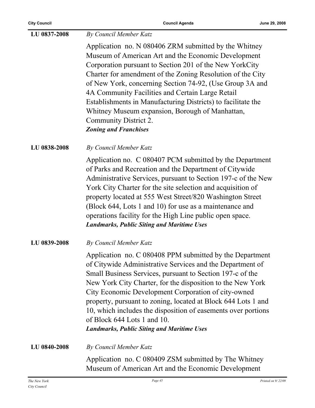| LU 0837-2008 | By Council Member Katz                                                                                                                                                                                                                                                                                                                                                                                                                                                                                                            |
|--------------|-----------------------------------------------------------------------------------------------------------------------------------------------------------------------------------------------------------------------------------------------------------------------------------------------------------------------------------------------------------------------------------------------------------------------------------------------------------------------------------------------------------------------------------|
|              | Application no. N 080406 ZRM submitted by the Whitney<br>Museum of American Art and the Economic Development<br>Corporation pursuant to Section 201 of the New YorkCity<br>Charter for amendment of the Zoning Resolution of the City<br>of New York, concerning Section 74-92, (Use Group 3A and<br>4A Community Facilities and Certain Large Retail<br>Establishments in Manufacturing Districts) to facilitate the<br>Whitney Museum expansion, Borough of Manhattan,<br>Community District 2.<br><b>Zoning and Franchises</b> |
| LU 0838-2008 | <b>By Council Member Katz</b>                                                                                                                                                                                                                                                                                                                                                                                                                                                                                                     |
|              | Application no. C 080407 PCM submitted by the Department<br>of Parks and Recreation and the Department of Citywide<br>Administrative Services, pursuant to Section 197-c of the New<br>York City Charter for the site selection and acquisition of<br>property located at 555 West Street/820 Washington Street<br>(Block 644, Lots 1 and 10) for use as a maintenance and<br>operations facility for the High Line public open space.<br><b>Landmarks, Public Siting and Maritime Uses</b>                                       |
| LU 0839-2008 | By Council Member Katz                                                                                                                                                                                                                                                                                                                                                                                                                                                                                                            |
|              | Application no. C 080408 PPM submitted by the Department<br>of Citywide Administrative Services and the Department of<br>Small Business Services, pursuant to Section 197-c of the<br>New York City Charter, for the disposition to the New York<br>City Economic Development Corporation of city-owned<br>property, pursuant to zoning, located at Block 644 Lots 1 and<br>10, which includes the disposition of easements over portions<br>of Block 644 Lots 1 and 10.<br><b>Landmarks, Public Siting and Maritime Uses</b>     |
| LU 0840-2008 | By Council Member Katz                                                                                                                                                                                                                                                                                                                                                                                                                                                                                                            |
|              | Application no. C 080409 ZSM submitted by The Whitney<br>Museum of American Art and the Economic Development                                                                                                                                                                                                                                                                                                                                                                                                                      |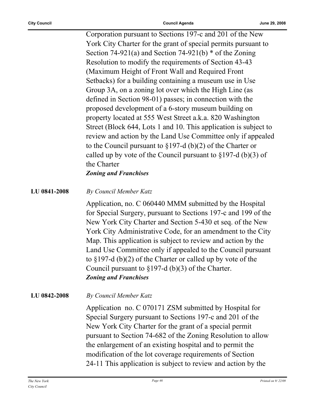Corporation pursuant to Sections 197-c and 201 of the New York City Charter for the grant of special permits pursuant to Section 74-921(a) and Section 74-921(b)  $*$  of the Zoning Resolution to modify the requirements of Section 43-43 (Maximum Height of Front Wall and Required Front Setbacks) for a building containing a museum use in Use Group 3A, on a zoning lot over which the High Line (as defined in Section 98-01) passes; in connection with the proposed development of a 6-story museum building on property located at 555 West Street a.k.a. 820 Washington Street (Block 644, Lots 1 and 10. This application is subject to review and action by the Land Use Committee only if appealed to the Council pursuant to §197-d (b)(2) of the Charter or called up by vote of the Council pursuant to  $\S 197-d$  (b)(3) of the Charter *Zoning and Franchises*

**LU 0841-2008** *By Council Member Katz*

Application, no. C 060440 MMM submitted by the Hospital for Special Surgery, pursuant to Sections 197-c and 199 of the New York City Charter and Section 5-430 et seq. of the New York City Administrative Code, for an amendment to the City Map. This application is subject to review and action by the Land Use Committee only if appealed to the Council pursuant to §197-d (b)(2) of the Charter or called up by vote of the Council pursuant to §197-d (b)(3) of the Charter. *Zoning and Franchises*

**LU 0842-2008** *By Council Member Katz*

Application no. C 070171 ZSM submitted by Hospital for Special Surgery pursuant to Sections 197-c and 201 of the New York City Charter for the grant of a special permit pursuant to Section 74-682 of the Zoning Resolution to allow the enlargement of an existing hospital and to permit the modification of the lot coverage requirements of Section 24-11 This application is subject to review and action by the